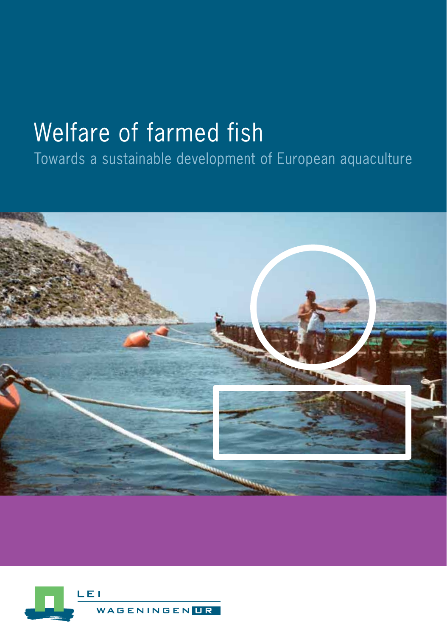# Welfare of farmed fish

Towards a sustainable development of European aquaculture



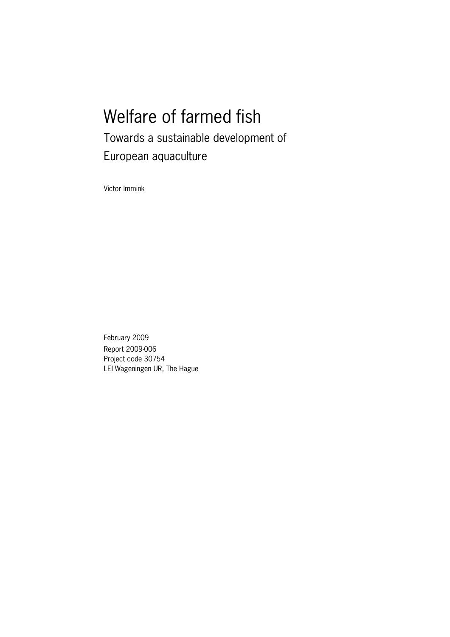## Welfare of farmed fish Towards a sustainable development of European aquaculture

Victor Immink

February 2009 Report 2009-006 Project code 30754 LEI Wageningen UR, The Hague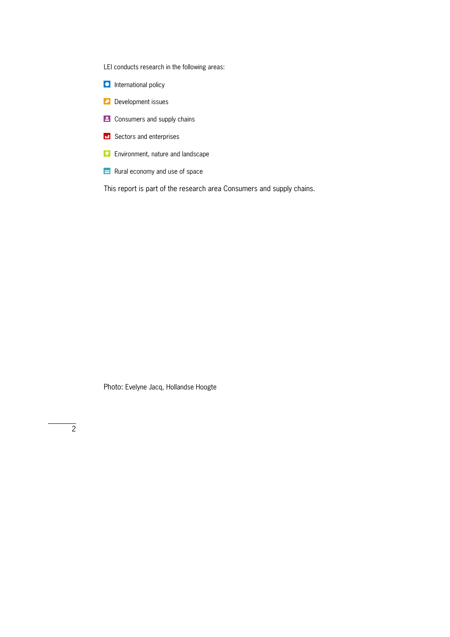LEI conducts research in the following areas:

- **D** International policy
- **Development issues**
- **2** Consumers and supply chains
- **ED** Sectors and enterprises
- **Environment, nature and landscape**
- $\approx$  Rural economy and use of space

This report is part of the research area Consumers and supply chains.

Photo: Evelyne Jacq, Hollandse Hoogte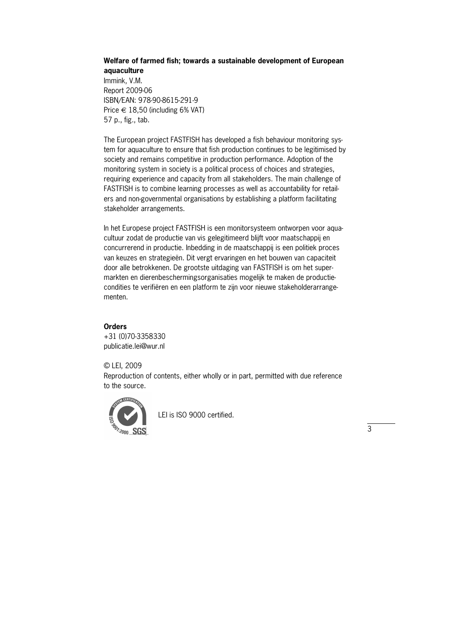#### **Welfare of farmed fish; towards a sustainable development of European aquaculture**

Immink, V.M. Report 2009-06 ISBN/EAN: 978-90-8615-291-9 Price  $\in$  18,50 (including 6% VAT) 57 p., fig., tab.

The European project FASTFISH has developed a fish behaviour monitoring system for aquaculture to ensure that fish production continues to be legitimised by society and remains competitive in production performance. Adoption of the monitoring system in society is a political process of choices and strategies, requiring experience and capacity from all stakeholders. The main challenge of FASTFISH is to combine learning processes as well as accountability for retailers and non-governmental organisations by establishing a platform facilitating stakeholder arrangements.

In het Europese project FASTFISH is een monitorsysteem ontworpen voor aquacultuur zodat de productie van vis gelegitimeerd blijft voor maatschappij en concurrerend in productie. Inbedding in de maatschappij is een politiek proces van keuzes en strategieën. Dit vergt ervaringen en het bouwen van capaciteit door alle betrokkenen. De grootste uitdaging van FASTFISH is om het supermarkten en dierenbeschermingsorganisaties mogelijk te maken de productiecondities te verifiëren en een platform te zijn voor nieuwe stakeholderarrange" menten.

#### **Orders**

+31 (0)70-3358330 publicatie.lei@wur.nl

© LEI, 2009

Reproduction of contents, either wholly or in part, permitted with due reference to the source.



LEI is ISO 9000 certified.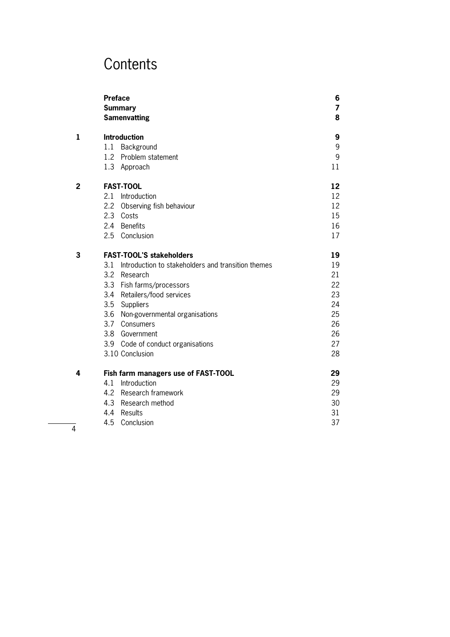### **Contents**

|   | <b>Preface</b><br><b>Summary</b><br><b>Samenvatting</b> | 6<br>$\overline{7}$<br>8 |
|---|---------------------------------------------------------|--------------------------|
| 1 | <b>Introduction</b>                                     | 9                        |
|   | Background<br>1.1                                       | 9                        |
|   | 1.2 Problem statement                                   | 9                        |
|   | 1.3 Approach                                            | 11                       |
| 2 | <b>FAST-TOOL</b>                                        | 12                       |
|   | Introduction<br>2.1                                     | 12                       |
|   | 2.2<br>Observing fish behaviour                         | 12                       |
|   | 2.3 Costs                                               | 15                       |
|   | 2.4 Benefits                                            | 16                       |
|   | 2.5 Conclusion                                          | 17                       |
| 3 | <b>FAST-TOOL'S stakeholders</b>                         | 19                       |
|   | 3.1 Introduction to stakeholders and transition themes  | 19                       |
|   | 3.2 Research                                            | 21                       |
|   | 3.3 Fish farms/processors                               | 22                       |
|   | 3.4 Retailers/food services                             | 23                       |
|   | 3.5<br>Suppliers                                        | 24                       |
|   | 3.6 Non-governmental organisations                      | 25                       |
|   | 3.7 Consumers                                           | 26                       |
|   | 3.8 Government                                          | 26                       |
|   | 3.9 Code of conduct organisations                       | 27                       |
|   | 3.10 Conclusion                                         | 28                       |
| 4 | Fish farm managers use of FAST-TOOL                     | 29                       |
|   | 4.1<br>Introduction                                     | 29                       |
|   | 4.2<br>Research framework                               | 29                       |
|   | 4.3<br>Research method                                  | 30                       |
|   | Results<br>4.4                                          | 31                       |
|   | 4.5<br>Conclusion                                       | 37                       |

4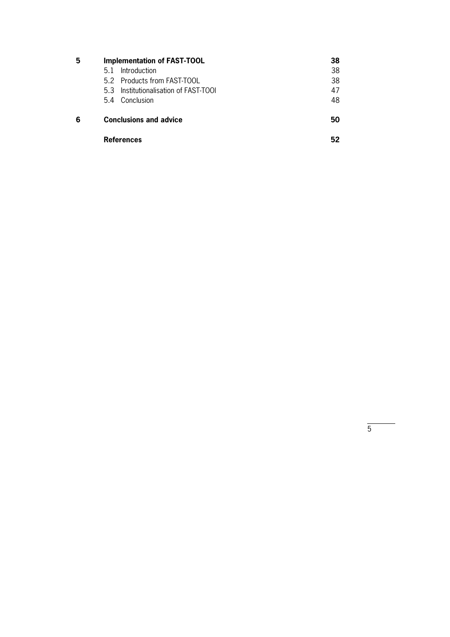| 5 | <b>Implementation of FAST-TOOL</b>    | 38 |  |  |
|---|---------------------------------------|----|--|--|
|   | Introduction<br>5.1                   | 38 |  |  |
|   | 5.2 Products from FAST-TOOL           | 38 |  |  |
|   | 5.3 Institutionalisation of FAST-TOOI | 47 |  |  |
|   | 5.4 Conclusion                        | 48 |  |  |
| 6 | <b>Conclusions and advice</b>         |    |  |  |
|   | <b>References</b>                     |    |  |  |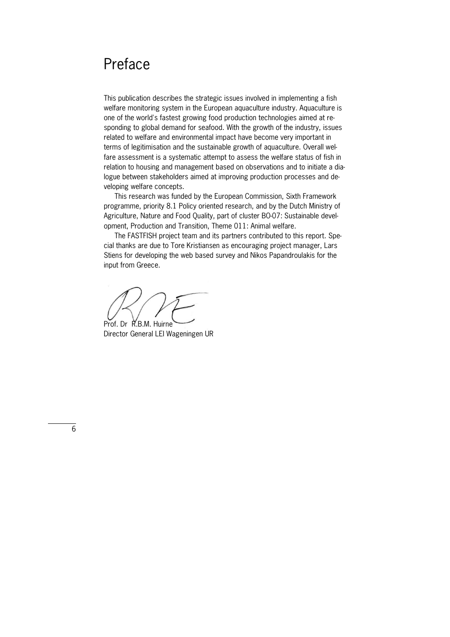### Preface

This publication describes the strategic issues involved in implementing a fish welfare monitoring system in the European aquaculture industry. Aquaculture is one of the world's fastest growing food production technologies aimed at responding to global demand for seafood. With the growth of the industry, issues related to welfare and environmental impact have become very important in terms of legitimisation and the sustainable growth of aquaculture. Overall welfare assessment is a systematic attempt to assess the welfare status of fish in relation to housing and management based on observations and to initiate a dialogue between stakeholders aimed at improving production processes and developing welfare concepts.

 This research was funded by the European Commission, Sixth Framework programme, priority 8.1 Policy oriented research, and by the Dutch Ministry of Agriculture, Nature and Food Quality, part of cluster BO-07: Sustainable development, Production and Transition, Theme 011: Animal welfare.

The FASTFISH project team and its partners contributed to this report. Special thanks are due to Tore Kristiansen as encouraging project manager, Lars Stiens for developing the web based survey and Nikos Papandroulakis for the input from Greece.

Prof. Dr R.B.M. Huirne

Director General LEI Wageningen UR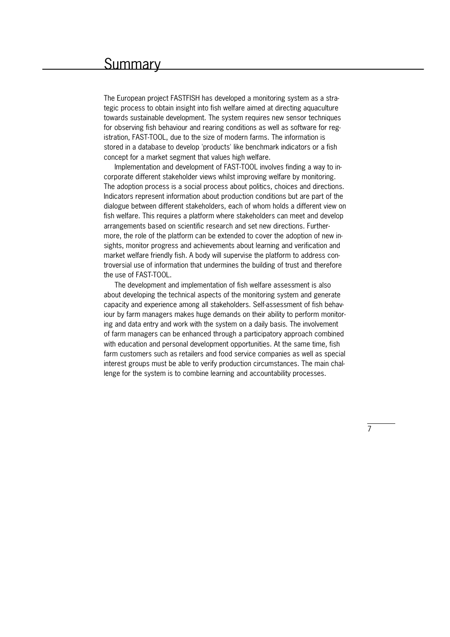### **Summary**

The European project FASTFISH has developed a monitoring system as a strategic process to obtain insight into fish welfare aimed at directing aquaculture towards sustainable development. The system requires new sensor techniques for observing fish behaviour and rearing conditions as well as software for registration, FAST-TOOL, due to the size of modern farms. The information is stored in a database to develop 'products' like benchmark indicators or a fish concept for a market segment that values high welfare.

Implementation and development of FAST-TOOL involves finding a way to incorporate different stakeholder views whilst improving welfare by monitoring. The adoption process is a social process about politics, choices and directions. Indicators represent information about production conditions but are part of the dialogue between different stakeholders, each of whom holds a different view on fish welfare. This requires a platform where stakeholders can meet and develop arrangements based on scientific research and set new directions. Furthermore, the role of the platform can be extended to cover the adoption of new insights, monitor progress and achievements about learning and verification and market welfare friendly fish. A body will supervise the platform to address controversial use of information that undermines the building of trust and therefore the use of FAST-TOOL.

 The development and implementation of fish welfare assessment is also about developing the technical aspects of the monitoring system and generate capacity and experience among all stakeholders. Self-assessment of fish behaviour by farm managers makes huge demands on their ability to perform monitoring and data entry and work with the system on a daily basis. The involvement of farm managers can be enhanced through a participatory approach combined with education and personal development opportunities. At the same time, fish farm customers such as retailers and food service companies as well as special interest groups must be able to verify production circumstances. The main challenge for the system is to combine learning and accountability processes.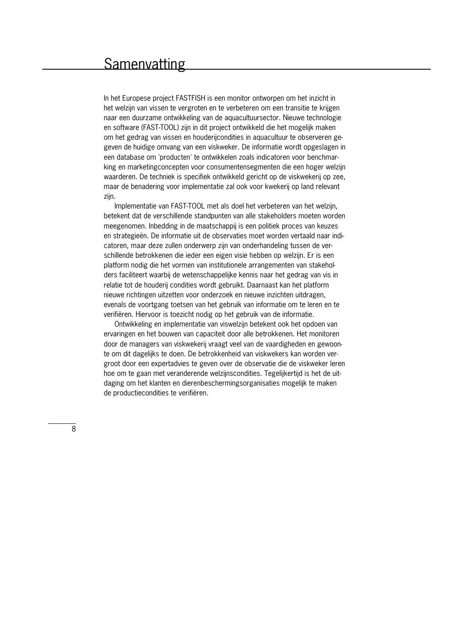### **Samenvatting**

In het Europese project FASTFISH is een monitor ontworpen om het inzicht in het welzijn van vissen te vergroten en te verbeteren om een transitie te krijgen naar een duurzame ontwikkeling van de aquacultuursector. Nieuwe technologie en software (FAST-TOOL) zijn in dit project ontwikkeld die het mogelijk maken om het gedrag van vissen en houderijcondities in aquacultuur te observeren gegeven de huidige omvang van een viskweker. De informatie wordt opgeslagen in een database om 'producten' te ontwikkelen zoals indicatoren voor benchmarking en marketingconcepten voor consumentensegmenten die een hoger welzijn waarderen. De techniek is specifiek ontwikkeld gericht op de viskwekerij op zee, maar de benadering voor implementatie zal ook voor kwekerij op land relevant zijn.

Implementatie van FAST-TOOL met als doel het verbeteren van het welzijn, betekent dat de verschillende standpunten van alle stakeholders moeten worden meegenomen. Inbedding in de maatschappij is een politiek proces van keuzes en strategieën. De informatie uit de observaties moet worden vertaald naar indicatoren, maar deze zullen onderwerp zijn van onderhandeling tussen de verschillende betrokkenen die ieder een eigen visie hebben op welzijn. Er is een platform nodig die het vormen van institutionele arrangementen van stakeholders faciliteert waarbij de wetenschappelijke kennis naar het gedrag van vis in relatie tot de houderij condities wordt gebruikt. Daarnaast kan het platform nieuwe richtingen uitzetten voor onderzoek en nieuwe inzichten uitdragen, evenals de voortgang toetsen van het gebruik van informatie om te leren en te verifiëren. Hiervoor is toezicht nodig op het gebruik van de informatie.

 Ontwikkeling en implementatie van viswelzijn betekent ook het opdoen van ervaringen en het bouwen van capaciteit door alle betrokkenen. Het monitoren door de managers van viskwekerij vraagt veel van de vaardigheden en gewoonte om dit dagelijks te doen. De betrokkenheid van viskwekers kan worden vergroot door een expertadvies te geven over de observatie die de viskweker leren hoe om te gaan met veranderende welzijnscondities. Tegelijkertijd is het de uitdaging om het klanten en dierenbeschermingsorganisaties mogelijk te maken de productiecondities te verifiëren.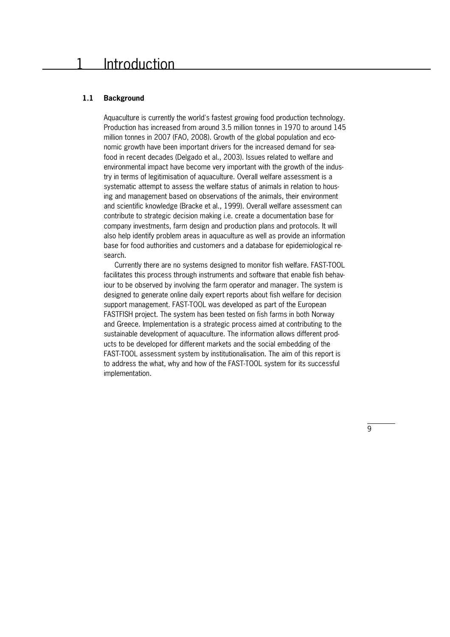### Introduction

#### **1.1 Background**

Aquaculture is currently the world's fastest growing food production technology. Production has increased from around 3.5 million tonnes in 1970 to around 145 million tonnes in 2007 (FAO, 2008). Growth of the global population and economic growth have been important drivers for the increased demand for seafood in recent decades (Delgado et al., 2003). Issues related to welfare and environmental impact have become very important with the growth of the industry in terms of legitimisation of aquaculture. Overall welfare assessment is a systematic attempt to assess the welfare status of animals in relation to housing and management based on observations of the animals, their environment and scientific knowledge (Bracke et al., 1999). Overall welfare assessment can contribute to strategic decision making i.e. create a documentation base for company investments, farm design and production plans and protocols. It will also help identify problem areas in aquaculture as well as provide an information base for food authorities and customers and a database for epidemiological research.

Currently there are no systems designed to monitor fish welfare. FAST-TOOL facilitates this process through instruments and software that enable fish behaviour to be observed by involving the farm operator and manager. The system is designed to generate online daily expert reports about fish welfare for decision support management. FAST-TOOL was developed as part of the European FASTFISH project. The system has been tested on fish farms in both Norway and Greece. Implementation is a strategic process aimed at contributing to the sustainable development of aquaculture. The information allows different products to be developed for different markets and the social embedding of the FAST-TOOL assessment system by institutionalisation. The aim of this report is to address the what, why and how of the FAST-TOOL system for its successful implementation.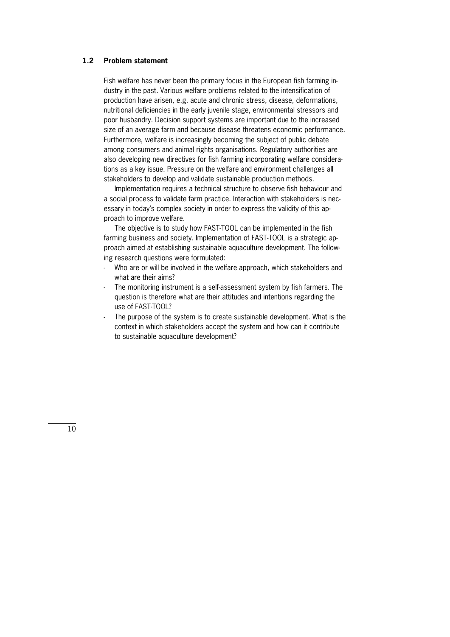#### **1.2 Problem statement**

Fish welfare has never been the primary focus in the European fish farming industry in the past. Various welfare problems related to the intensification of production have arisen, e.g. acute and chronic stress, disease, deformations, nutritional deficiencies in the early juvenile stage, environmental stressors and poor husbandry. Decision support systems are important due to the increased size of an average farm and because disease threatens economic performance. Furthermore, welfare is increasingly becoming the subject of public debate among consumers and animal rights organisations. Regulatory authorities are also developing new directives for fish farming incorporating welfare considerations as a key issue. Pressure on the welfare and environment challenges all stakeholders to develop and validate sustainable production methods.

 Implementation requires a technical structure to observe fish behaviour and a social process to validate farm practice. Interaction with stakeholders is necessary in today's complex society in order to express the validity of this approach to improve welfare.

The objective is to study how FAST-TOOL can be implemented in the fish farming business and society. Implementation of FAST-TOOL is a strategic approach aimed at establishing sustainable aquaculture development. The follow" ing research questions were formulated:

- Who are or will be involved in the welfare approach, which stakeholders and what are their aims?
- The monitoring instrument is a self-assessment system by fish farmers. The question is therefore what are their attitudes and intentions regarding the use of FAST-TOOL?
- The purpose of the system is to create sustainable development. What is the context in which stakeholders accept the system and how can it contribute to sustainable aquaculture development?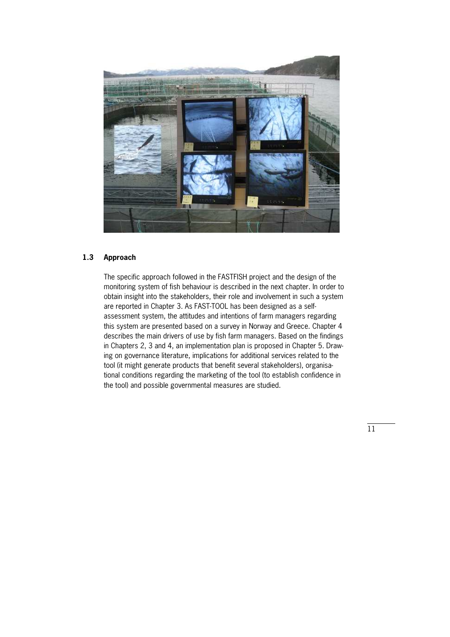

#### **1.3 Approach**

The specific approach followed in the FASTFISH project and the design of the monitoring system of fish behaviour is described in the next chapter. In order to obtain insight into the stakeholders, their role and involvement in such a system are reported in Chapter 3. As FAST-TOOL has been designed as a selfassessment system, the attitudes and intentions of farm managers regarding this system are presented based on a survey in Norway and Greece. Chapter 4 describes the main drivers of use by fish farm managers. Based on the findings in Chapters 2, 3 and 4, an implementation plan is proposed in Chapter 5. Drawing on governance literature, implications for additional services related to the tool (it might generate products that benefit several stakeholders), organisational conditions regarding the marketing of the tool (to establish confidence in the tool) and possible governmental measures are studied.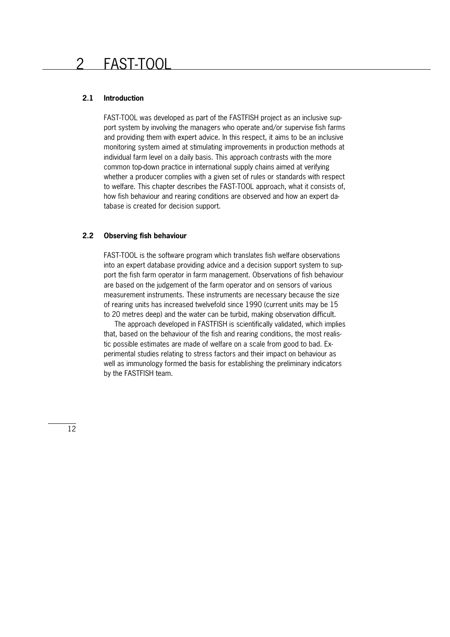### 2 FAST-TOOL

#### **2.1 Introduction**

FAST-TOOL was developed as part of the FASTFISH project as an inclusive support system by involving the managers who operate and/or supervise fish farms and providing them with expert advice. In this respect, it aims to be an inclusive monitoring system aimed at stimulating improvements in production methods at individual farm level on a daily basis. This approach contrasts with the more common top"down practice in international supply chains aimed at verifying whether a producer complies with a given set of rules or standards with respect to welfare. This chapter describes the FAST-TOOL approach, what it consists of, how fish behaviour and rearing conditions are observed and how an expert database is created for decision support.

#### **2.2 Observing fish behaviour**

FAST-TOOL is the software program which translates fish welfare observations into an expert database providing advice and a decision support system to support the fish farm operator in farm management. Observations of fish behaviour are based on the judgement of the farm operator and on sensors of various measurement instruments. These instruments are necessary because the size of rearing units has increased twelvefold since 1990 (current units may be 15 to 20 metres deep) and the water can be turbid, making observation difficult.

 The approach developed in FASTFISH is scientifically validated, which implies that, based on the behaviour of the fish and rearing conditions, the most realistic possible estimates are made of welfare on a scale from good to bad. Experimental studies relating to stress factors and their impact on behaviour as well as immunology formed the basis for establishing the preliminary indicators by the FASTFISH team.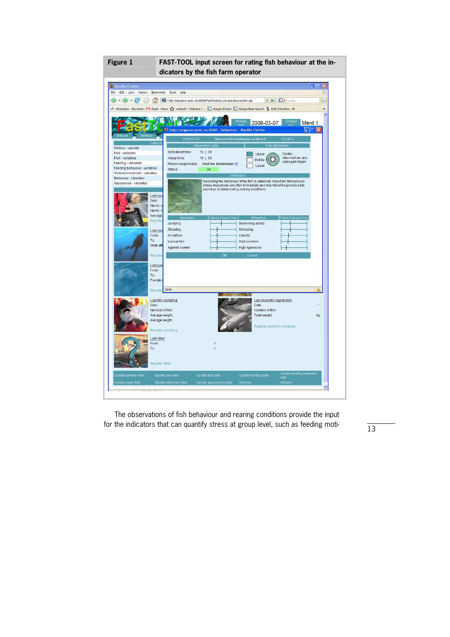**Figure 1** FAST-TOOL input screen for rating fish behaviour at the in**dicators by the fish farm operator** 



 The observations of fish behaviour and rearing conditions provide the input for the indicators that can quantify stress at group level, such as feeding moti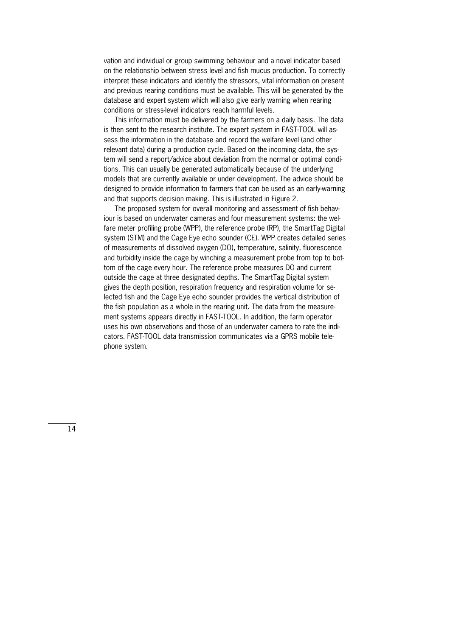vation and individual or group swimming behaviour and a novel indicator based on the relationship between stress level and fish mucus production. To correctly interpret these indicators and identify the stressors, vital information on present and previous rearing conditions must be available. This will be generated by the database and expert system which will also give early warning when rearing conditions or stress-level indicators reach harmful levels.

 This information must be delivered by the farmers on a daily basis. The data is then sent to the research institute. The expert system in FAST-TOOL will assess the information in the database and record the welfare level (and other relevant data) during a production cycle. Based on the incoming data, the system will send a report/advice about deviation from the normal or optimal conditions. This can usually be generated automatically because of the underlying models that are currently available or under development. The advice should be designed to provide information to farmers that can be used as an early-warning and that supports decision making. This is illustrated in Figure 2.

The proposed system for overall monitoring and assessment of fish behaviour is based on underwater cameras and four measurement systems: the welfare meter profiling probe (WPP), the reference probe (RP), the SmartTag Digital system (STM) and the Cage Eye echo sounder (CE). WPP creates detailed series of measurements of dissolved oxygen (DO), temperature, salinity, fluorescence and turbidity inside the cage by winching a measurement probe from top to bottom of the cage every hour. The reference probe measures DO and current outside the cage at three designated depths. The SmartTag Digital system gives the depth position, respiration frequency and respiration volume for selected fish and the Cage Eye echo sounder provides the vertical distribution of the fish population as a whole in the rearing unit. The data from the measurement systems appears directly in FAST-TOOL. In addition, the farm operator uses his own observations and those of an underwater camera to rate the indicators. FAST-TOOL data transmission communicates via a GPRS mobile telephone system.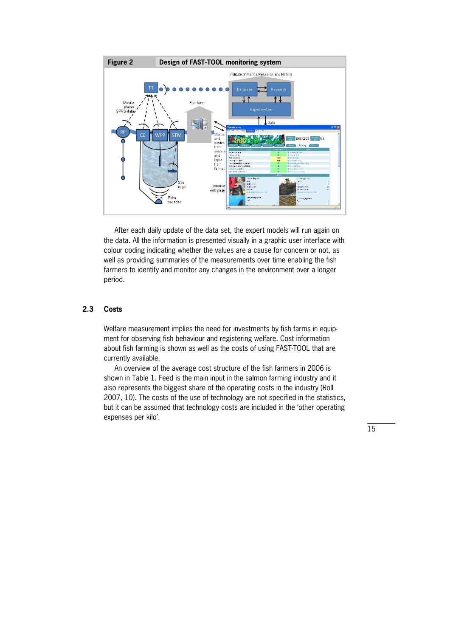

 After each daily update of the data set, the expert models will run again on the data. All the information is presented visually in a graphic user interface with colour coding indicating whether the values are a cause for concern or not, as well as providing summaries of the measurements over time enabling the fish farmers to identify and monitor any changes in the environment over a longer period.

#### **2.3 Costs**

Welfare measurement implies the need for investments by fish farms in equipment for observing fish behaviour and registering welfare. Cost information about fish farming is shown as well as the costs of using FAST-TOOL that are currently available.

 An overview of the average cost structure of the fish farmers in 2006 is shown in Table 1. Feed is the main input in the salmon farming industry and it also represents the biggest share of the operating costs in the industry (Roll 2007, 10). The costs of the use of technology are not specified in the statistics, but it can be assumed that technology costs are included in the 'other operating expenses per kilo'.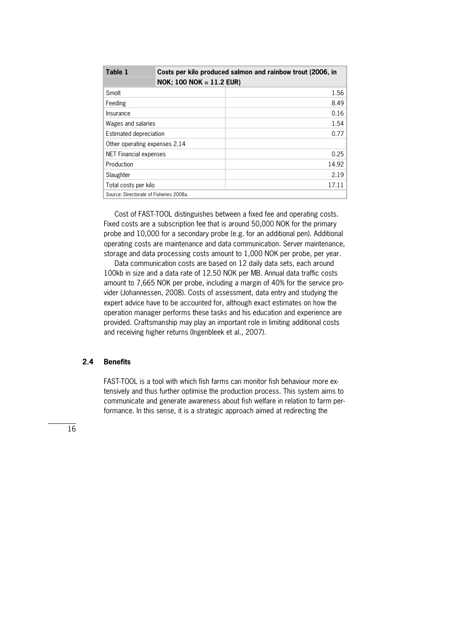| Table 1                                 | Costs per kilo produced salmon and rainbow trout (2006, in<br>$NOK$ ; 100 NOK = 11.2 EUR) |       |  |  |
|-----------------------------------------|-------------------------------------------------------------------------------------------|-------|--|--|
| Smolt                                   |                                                                                           | 1.56  |  |  |
| Feeding                                 |                                                                                           | 8.49  |  |  |
| Insurance                               |                                                                                           | 0.16  |  |  |
| Wages and salaries                      |                                                                                           | 1.54  |  |  |
| Estimated depreciation                  |                                                                                           | 0.77  |  |  |
| Other operating expenses 2.14           |                                                                                           |       |  |  |
| <b>NET Financial expenses</b>           |                                                                                           | 0.25  |  |  |
| Production                              |                                                                                           | 14.92 |  |  |
| Slaughter                               |                                                                                           | 2.19  |  |  |
| Total costs per kilo                    |                                                                                           | 17.11 |  |  |
| Source: Directorate of Fisheries 2008a. |                                                                                           |       |  |  |

Cost of FAST-TOOL distinguishes between a fixed fee and operating costs. Fixed costs are a subscription fee that is around 50,000 NOK for the primary probe and 10,000 for a secondary probe (e.g. for an additional pen). Additional operating costs are maintenance and data communication. Server maintenance, storage and data processing costs amount to 1,000 NOK per probe, per year.

 Data communication costs are based on 12 daily data sets, each around 100kb in size and a data rate of 12.50 NOK per MB. Annual data traffic costs amount to 7,665 NOK per probe, including a margin of 40% for the service provider (Johannessen, 2008). Costs of assessment, data entry and studying the expert advice have to be accounted for, although exact estimates on how the operation manager performs these tasks and his education and experience are provided. Craftsmanship may play an important role in limiting additional costs and receiving higher returns (Ingenbleek et al., 2007).

#### **2.4 Benefits**

FAST-TOOL is a tool with which fish farms can monitor fish behaviour more extensively and thus further optimise the production process. This system aims to communicate and generate awareness about fish welfare in relation to farm performance. In this sense, it is a strategic approach aimed at redirecting the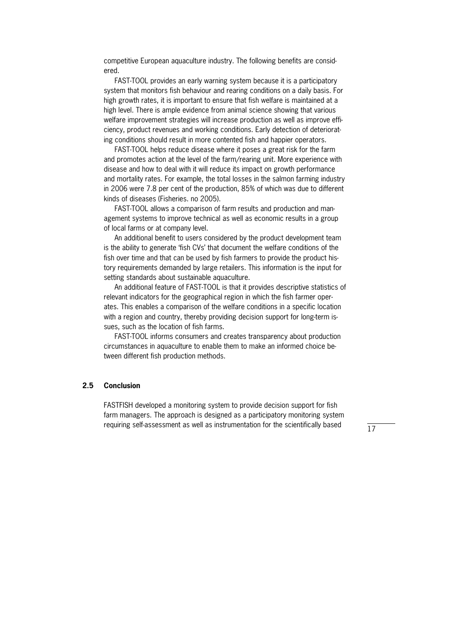competitive European aquaculture industry. The following benefits are considered.

FAST-TOOL provides an early warning system because it is a participatory system that monitors fish behaviour and rearing conditions on a daily basis. For high growth rates, it is important to ensure that fish welfare is maintained at a high level. There is ample evidence from animal science showing that various welfare improvement strategies will increase production as well as improve efficiency, product revenues and working conditions. Early detection of deteriorating conditions should result in more contented fish and happier operators.

FAST-TOOL helps reduce disease where it poses a great risk for the farm and promotes action at the level of the farm/rearing unit. More experience with disease and how to deal with it will reduce its impact on growth performance and mortality rates. For example, the total losses in the salmon farming industry in 2006 were 7.8 per cent of the production, 85% of which was due to different kinds of diseases (Fisheries. no 2005).

FAST-TOOL allows a comparison of farm results and production and management systems to improve technical as well as economic results in a group of local farms or at company level.

 An additional benefit to users considered by the product development team is the ability to generate 'fish CVs' that document the welfare conditions of the fish over time and that can be used by fish farmers to provide the product history requirements demanded by large retailers. This information is the input for setting standards about sustainable aquaculture.

An additional feature of FAST-TOOL is that it provides descriptive statistics of relevant indicators for the geographical region in which the fish farmer operates. This enables a comparison of the welfare conditions in a specific location with a region and country, thereby providing decision support for long-term issues, such as the location of fish farms.

FAST-TOOL informs consumers and creates transparency about production circumstances in aquaculture to enable them to make an informed choice between different fish production methods.

#### **2.5 Conclusion**

FASTFISH developed a monitoring system to provide decision support for fish farm managers. The approach is designed as a participatory monitoring system requiring self-assessment as well as instrumentation for the scientifically based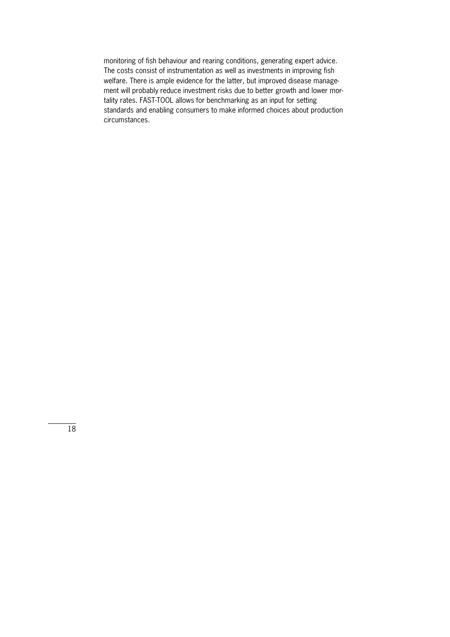monitoring of fish behaviour and rearing conditions, generating expert advice. The costs consist of instrumentation as well as investments in improving fish welfare. There is ample evidence for the latter, but improved disease management will probably reduce investment risks due to better growth and lower mortality rates. FAST-TOOL allows for benchmarking as an input for setting standards and enabling consumers to make informed choices about production circumstances.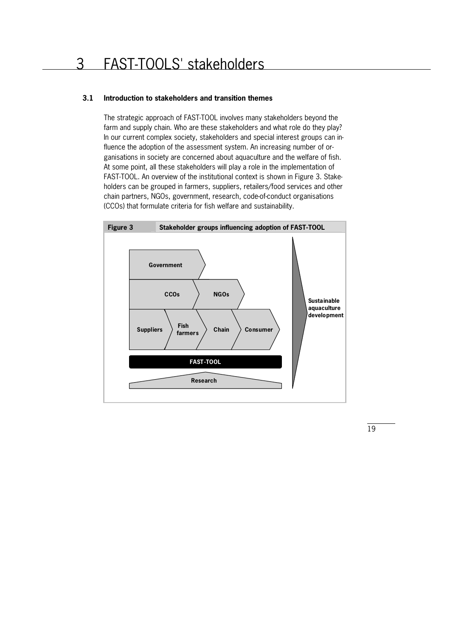### 3 FAST-TOOLS' stakeholders

### **3.1 Introduction to stakeholders and transition themes**

The strategic approach of FAST-TOOL involves many stakeholders beyond the farm and supply chain. Who are these stakeholders and what role do they play? In our current complex society, stakeholders and special interest groups can influence the adoption of the assessment system. An increasing number of organisations in society are concerned about aquaculture and the welfare of fish. At some point, all these stakeholders will play a role in the implementation of FAST-TOOL. An overview of the institutional context is shown in Figure 3. Stakeholders can be grouped in farmers, suppliers, retailers/food services and other chain partners, NGOs, government, research, code-of-conduct organisations (CCOs) that formulate criteria for fish welfare and sustainability.

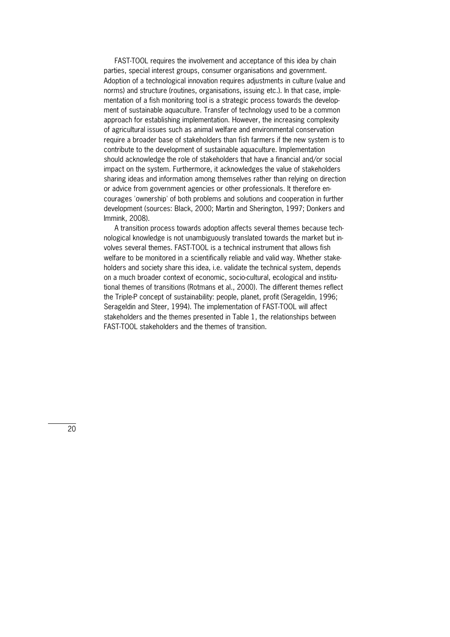FAST-TOOL requires the involvement and acceptance of this idea by chain parties, special interest groups, consumer organisations and government. Adoption of a technological innovation requires adjustments in culture (value and norms) and structure (routines, organisations, issuing etc.). In that case, implementation of a fish monitoring tool is a strategic process towards the development of sustainable aquaculture. Transfer of technology used to be a common approach for establishing implementation. However, the increasing complexity of agricultural issues such as animal welfare and environmental conservation require a broader base of stakeholders than fish farmers if the new system is to contribute to the development of sustainable aquaculture. Implementation should acknowledge the role of stakeholders that have a financial and/or social impact on the system. Furthermore, it acknowledges the value of stakeholders sharing ideas and information among themselves rather than relying on direction or advice from government agencies or other professionals. It therefore encourages 'ownership' of both problems and solutions and cooperation in further development (sources: Black, 2000; Martin and Sherington, 1997; Donkers and Immink, 2008).

A transition process towards adoption affects several themes because technological knowledge is not unambiguously translated towards the market but involves several themes. FAST-TOOL is a technical instrument that allows fish welfare to be monitored in a scientifically reliable and valid way. Whether stakeholders and society share this idea, i.e. validate the technical system, depends on a much broader context of economic, socio-cultural, ecological and institutional themes of transitions (Rotmans et al., 2000). The different themes reflect the Triple-P concept of sustainability: people, planet, profit (Serageldin, 1996; Serageldin and Steer, 1994). The implementation of FAST-TOOL will affect stakeholders and the themes presented in Table 1, the relationships between FAST-TOOL stakeholders and the themes of transition.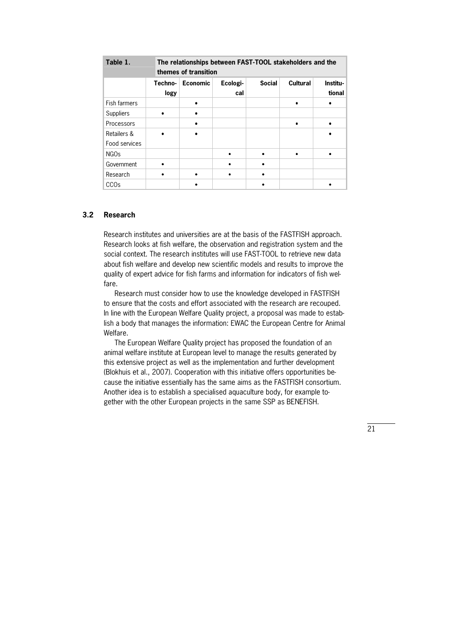| Table 1.         | The relationships between FAST-TOOL stakeholders and the<br>themes of transition |                 |          |               |                 |          |
|------------------|----------------------------------------------------------------------------------|-----------------|----------|---------------|-----------------|----------|
|                  | Techno-                                                                          | <b>Economic</b> | Ecologi- | <b>Social</b> | <b>Cultural</b> | Institu- |
|                  | logy                                                                             |                 | cal      |               |                 | tional   |
| Fish farmers     |                                                                                  |                 |          |               |                 |          |
| <b>Suppliers</b> |                                                                                  |                 |          |               |                 |          |
| Processors       |                                                                                  |                 |          |               |                 |          |
| Retailers &      |                                                                                  |                 |          |               |                 |          |
| Food services    |                                                                                  |                 |          |               |                 |          |
| <b>NGOs</b>      |                                                                                  |                 |          |               |                 |          |
| Government       |                                                                                  |                 |          |               |                 |          |
| Research         |                                                                                  |                 |          |               |                 |          |
| CCO <sub>s</sub> |                                                                                  |                 |          |               |                 |          |

#### **3.2 Research**

Research institutes and universities are at the basis of the FASTFISH approach. Research looks at fish welfare, the observation and registration system and the social context. The research institutes will use FAST-TOOL to retrieve new data about fish welfare and develop new scientific models and results to improve the quality of expert advice for fish farms and information for indicators of fish welfare.

 Research must consider how to use the knowledge developed in FASTFISH to ensure that the costs and effort associated with the research are recouped. In line with the European Welfare Quality project, a proposal was made to establish a body that manages the information: EWAC the European Centre for Animal Welfare.

 The European Welfare Quality project has proposed the foundation of an animal welfare institute at European level to manage the results generated by this extensive project as well as the implementation and further development (Blokhuis et al., 2007). Cooperation with this initiative offers opportunities because the initiative essentially has the same aims as the FASTFISH consortium. Another idea is to establish a specialised aquaculture body, for example together with the other European projects in the same SSP as BENEFISH.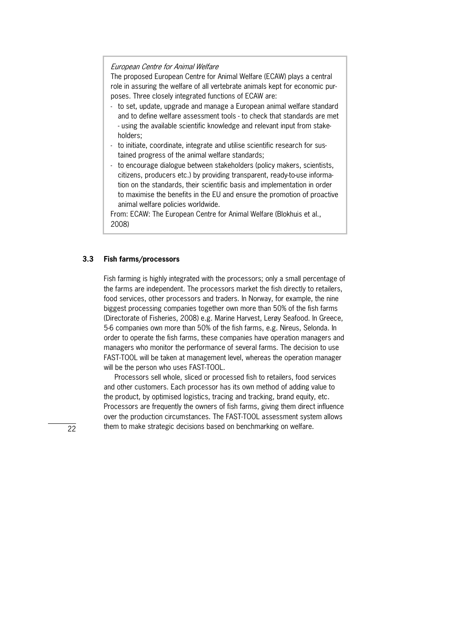#### European Centre for Animal Welfare

The proposed European Centre for Animal Welfare (ECAW) plays a central role in assuring the welfare of all vertebrate animals kept for economic purposes. Three closely integrated functions of ECAW are:

- to set, update, upgrade and manage a European animal welfare standard and to define welfare assessment tools - to check that standards are met - using the available scientific knowledge and relevant input from stakeholders;
- to initiate, coordinate, integrate and utilise scientific research for sustained progress of the animal welfare standards;
- to encourage dialogue between stakeholders (policy makers, scientists, citizens, producers etc.) by providing transparent, ready-to-use information on the standards, their scientific basis and implementation in order to maximise the benefits in the EU and ensure the promotion of proactive animal welfare policies worldwide.

From: ECAW: The European Centre for Animal Welfare (Blokhuis et al., 2008)

#### **3.3 Fish farms/processors**

Fish farming is highly integrated with the processors; only a small percentage of the farms are independent. The processors market the fish directly to retailers, food services, other processors and traders. In Norway, for example, the nine biggest processing companies together own more than 50% of the fish farms (Directorate of Fisheries, 2008) e.g. Marine Harvest, Lerøy Seafood. In Greece, 5-6 companies own more than 50% of the fish farms, e.g. Nireus, Selonda. In order to operate the fish farms, these companies have operation managers and managers who monitor the performance of several farms. The decision to use FAST-TOOL will be taken at management level, whereas the operation manager will be the person who uses FAST-TOOL.

 Processors sell whole, sliced or processed fish to retailers, food services and other customers. Each processor has its own method of adding value to the product, by optimised logistics, tracing and tracking, brand equity, etc. Processors are frequently the owners of fish farms, giving them direct influence over the production circumstances. The FAST-TOOL assessment system allows them to make strategic decisions based on benchmarking on welfare.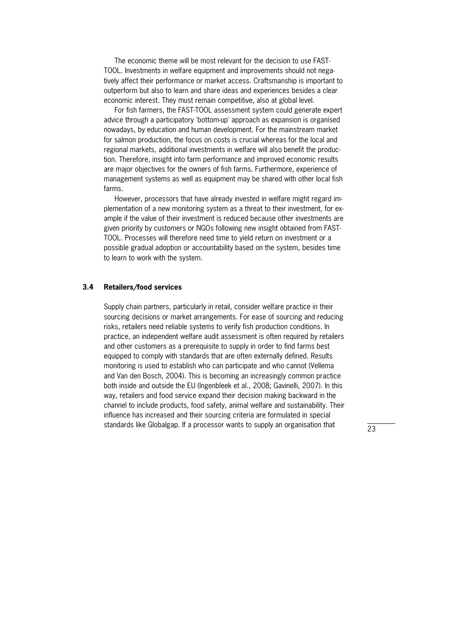The economic theme will be most relevant for the decision to use FAST-TOOL. Investments in welfare equipment and improvements should not nega" tively affect their performance or market access. Craftsmanship is important to outperform but also to learn and share ideas and experiences besides a clear economic interest. They must remain competitive, also at global level.

For fish farmers, the FAST-TOOL assessment system could generate expert advice through a participatory 'bottom-up' approach as expansion is organised nowadays, by education and human development. For the mainstream market for salmon production, the focus on costs is crucial whereas for the local and regional markets, additional investments in welfare will also benefit the production. Therefore, insight into farm performance and improved economic results are major objectives for the owners of fish farms. Furthermore, experience of management systems as well as equipment may be shared with other local fish farms.

However, processors that have already invested in welfare might regard implementation of a new monitoring system as a threat to their investment, for example if the value of their investment is reduced because other investments are given priority by customers or NGOs following new insight obtained from FAST-TOOL. Processes will therefore need time to yield return on investment or a possible gradual adoption or accountability based on the system, besides time to learn to work with the system.

#### **3.4 Retailers/food services**

Supply chain partners, particularly in retail, consider welfare practice in their sourcing decisions or market arrangements. For ease of sourcing and reducing risks, retailers need reliable systems to verify fish production conditions. In practice, an independent welfare audit assessment is often required by retailers and other customers as a prerequisite to supply in order to find farms best equipped to comply with standards that are often externally defined. Results monitoring is used to establish who can participate and who cannot (Vellema and Van den Bosch, 2004). This is becoming an increasingly common practice both inside and outside the EU (Ingenbleek et al., 2008; Gavinelli, 2007). In this way, retailers and food service expand their decision making backward in the channel to include products, food safety, animal welfare and sustainability. Their influence has increased and their sourcing criteria are formulated in special standards like Globalgap. If a processor wants to supply an organisation that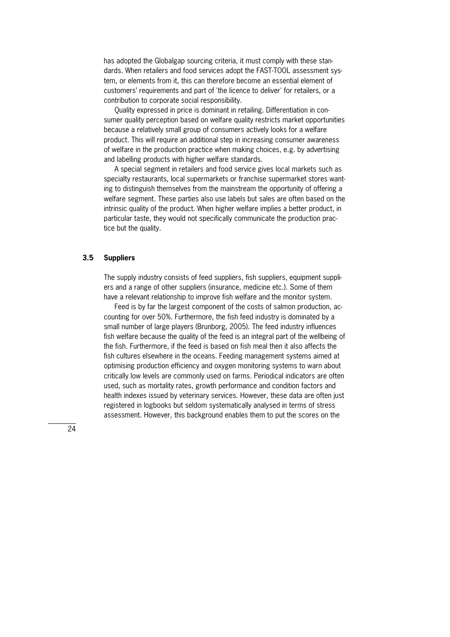has adopted the Globalgap sourcing criteria, it must comply with these standards. When retailers and food services adopt the FAST-TOOL assessment system, or elements from it, this can therefore become an essential element of customers' requirements and part of 'the licence to deliver' for retailers, or a contribution to corporate social responsibility.

Quality expressed in price is dominant in retailing. Differentiation in consumer quality perception based on welfare quality restricts market opportunities because a relatively small group of consumers actively looks for a welfare product. This will require an additional step in increasing consumer awareness of welfare in the production practice when making choices, e.g. by advertising and labelling products with higher welfare standards.

 A special segment in retailers and food service gives local markets such as specialty restaurants, local supermarkets or franchise supermarket stores wanting to distinguish themselves from the mainstream the opportunity of offering a welfare segment. These parties also use labels but sales are often based on the intrinsic quality of the product. When higher welfare implies a better product, in particular taste, they would not specifically communicate the production practice but the quality.

#### **3.5 Suppliers**

The supply industry consists of feed suppliers, fish suppliers, equipment suppliers and a range of other suppliers (insurance, medicine etc.). Some of them have a relevant relationship to improve fish welfare and the monitor system.

Feed is by far the largest component of the costs of salmon production, accounting for over 50%. Furthermore, the fish feed industry is dominated by a small number of large players (Brunborg, 2005). The feed industry influences fish welfare because the quality of the feed is an integral part of the wellbeing of the fish. Furthermore, if the feed is based on fish meal then it also affects the fish cultures elsewhere in the oceans. Feeding management systems aimed at optimising production efficiency and oxygen monitoring systems to warn about critically low levels are commonly used on farms. Periodical indicators are often used, such as mortality rates, growth performance and condition factors and health indexes issued by veterinary services. However, these data are often just registered in logbooks but seldom systematically analysed in terms of stress assessment. However, this background enables them to put the scores on the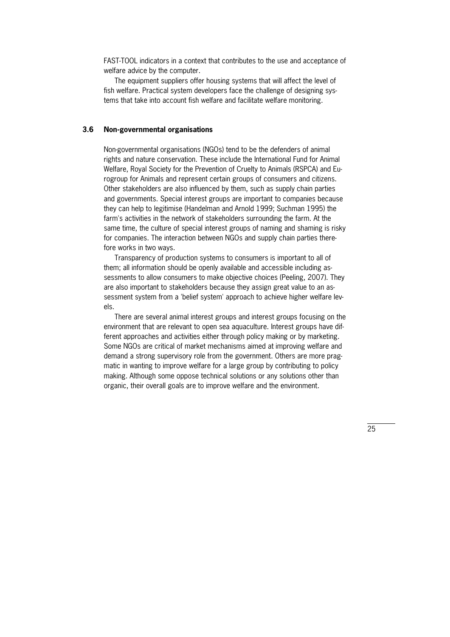FAST"TOOL indicators in a context that contributes to the use and acceptance of welfare advice by the computer.

 The equipment suppliers offer housing systems that will affect the level of fish welfare. Practical system developers face the challenge of designing systems that take into account fish welfare and facilitate welfare monitoring.

#### **3.6 Non-governmental organisations**

Non-governmental organisations (NGOs) tend to be the defenders of animal rights and nature conservation. These include the International Fund for Animal Welfare, Royal Society for the Prevention of Cruelty to Animals (RSPCA) and Eurogroup for Animals and represent certain groups of consumers and citizens. Other stakeholders are also influenced by them, such as supply chain parties and governments. Special interest groups are important to companies because they can help to legitimise (Handelman and Arnold 1999; Suchman 1995) the farm's activities in the network of stakeholders surrounding the farm. At the same time, the culture of special interest groups of naming and shaming is risky for companies. The interaction between NGOs and supply chain parties therefore works in two ways.

 Transparency of production systems to consumers is important to all of them; all information should be openly available and accessible including assessments to allow consumers to make objective choices (Peeling, 2007). They are also important to stakeholders because they assign great value to an assessment system from a 'belief system' approach to achieve higher welfare levels.

 There are several animal interest groups and interest groups focusing on the environment that are relevant to open sea aquaculture. Interest groups have different approaches and activities either through policy making or by marketing. Some NGOs are critical of market mechanisms aimed at improving welfare and demand a strong supervisory role from the government. Others are more pragmatic in wanting to improve welfare for a large group by contributing to policy making. Although some oppose technical solutions or any solutions other than organic, their overall goals are to improve welfare and the environment.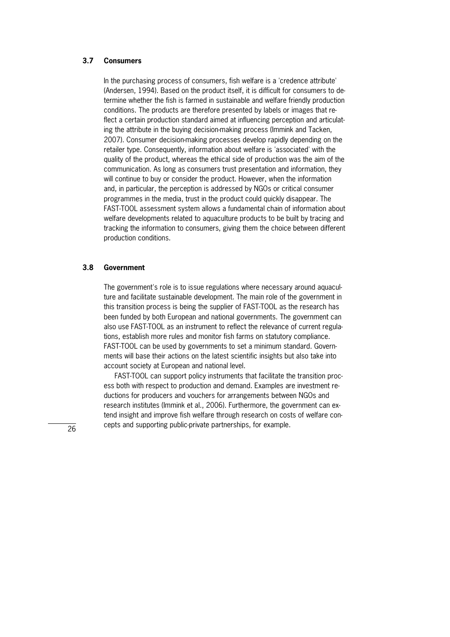#### **3.7 Consumers**

In the purchasing process of consumers, fish welfare is a 'credence attribute' (Andersen, 1994). Based on the product itself, it is difficult for consumers to determine whether the fish is farmed in sustainable and welfare friendly production conditions. The products are therefore presented by labels or images that reflect a certain production standard aimed at influencing perception and articulating the attribute in the buying decision-making process (Immink and Tacken, 2007). Consumer decision-making processes develop rapidly depending on the retailer type. Consequently, information about welfare is 'associated' with the quality of the product, whereas the ethical side of production was the aim of the communication. As long as consumers trust presentation and information, they will continue to buy or consider the product. However, when the information and, in particular, the perception is addressed by NGOs or critical consumer programmes in the media, trust in the product could quickly disappear. The FAST-TOOL assessment system allows a fundamental chain of information about welfare developments related to aquaculture products to be built by tracing and tracking the information to consumers, giving them the choice between different production conditions.

#### **3.8 Government**

The government's role is to issue regulations where necessary around aquaculture and facilitate sustainable development. The main role of the government in this transition process is being the supplier of FAST-TOOL as the research has been funded by both European and national governments. The government can also use FAST-TOOL as an instrument to reflect the relevance of current regulations, establish more rules and monitor fish farms on statutory compliance. FAST-TOOL can be used by governments to set a minimum standard. Governments will base their actions on the latest scientific insights but also take into account society at European and national level.

FAST-TOOL can support policy instruments that facilitate the transition process both with respect to production and demand. Examples are investment reductions for producers and vouchers for arrangements between NGOs and research institutes (Immink et al., 2006). Furthermore, the government can extend insight and improve fish welfare through research on costs of welfare concepts and supporting public-private partnerships, for example.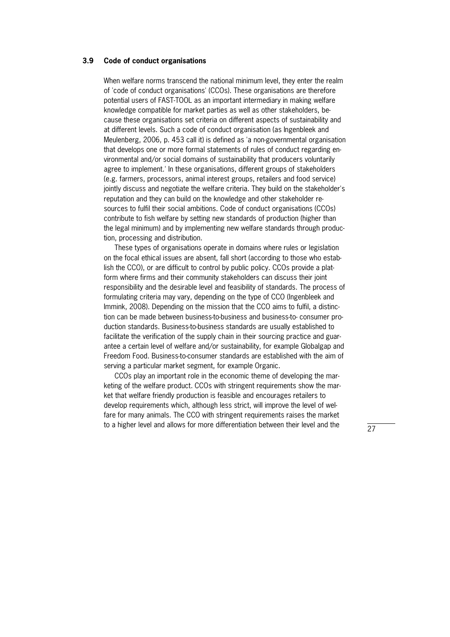#### **3.9 Code of conduct organisations**

When welfare norms transcend the national minimum level, they enter the realm of 'code of conduct organisations' (CCOs). These organisations are therefore potential users of FAST-TOOL as an important intermediary in making welfare knowledge compatible for market parties as well as other stakeholders, because these organisations set criteria on different aspects of sustainability and at different levels. Such a code of conduct organisation (as Ingenbleek and Meulenberg, 2006, p. 453 call it) is defined as 'a non-governmental organisation that develops one or more formal statements of rules of conduct regarding environmental and/or social domains of sustainability that producers voluntarily agree to implement.' In these organisations, different groups of stakeholders (e.g. farmers, processors, animal interest groups, retailers and food service) jointly discuss and negotiate the welfare criteria. They build on the stakeholder's reputation and they can build on the knowledge and other stakeholder resources to fulfil their social ambitions. Code of conduct organisations (CCOs) contribute to fish welfare by setting new standards of production (higher than the legal minimum) and by implementing new welfare standards through production, processing and distribution.

 These types of organisations operate in domains where rules or legislation on the focal ethical issues are absent, fall short (according to those who establish the CCO), or are difficult to control by public policy. CCOs provide a platform where firms and their community stakeholders can discuss their joint responsibility and the desirable level and feasibility of standards. The process of formulating criteria may vary, depending on the type of CCO (Ingenbleek and Immink, 2008). Depending on the mission that the CCO aims to fulfil, a distinction can be made between business-to-business and business-to-consumer production standards. Business-to-business standards are usually established to facilitate the verification of the supply chain in their sourcing practice and guarantee a certain level of welfare and/or sustainability, for example Globalgap and Freedom Food. Business-to-consumer standards are established with the aim of serving a particular market segment, for example Organic.

CCOs play an important role in the economic theme of developing the marketing of the welfare product. CCOs with stringent requirements show the market that welfare friendly production is feasible and encourages retailers to develop requirements which, although less strict, will improve the level of welfare for many animals. The CCO with stringent requirements raises the market to a higher level and allows for more differentiation between their level and the

27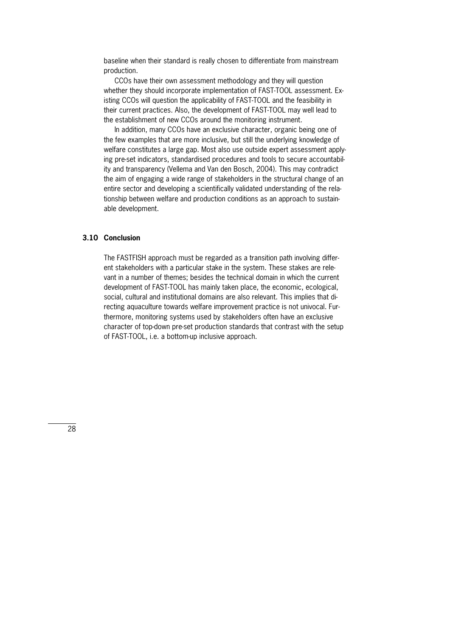baseline when their standard is really chosen to differentiate from mainstream production.

 CCOs have their own assessment methodology and they will question whether they should incorporate implementation of FAST-TOOL assessment. Existing CCOs will question the applicability of FAST-TOOL and the feasibility in their current practices. Also, the development of FAST-TOOL may well lead to the establishment of new CCOs around the monitoring instrument.

 In addition, many CCOs have an exclusive character, organic being one of the few examples that are more inclusive, but still the underlying knowledge of welfare constitutes a large gap. Most also use outside expert assessment applying pre-set indicators, standardised procedures and tools to secure accountability and transparency (Vellema and Van den Bosch, 2004). This may contradict the aim of engaging a wide range of stakeholders in the structural change of an entire sector and developing a scientifically validated understanding of the relationship between welfare and production conditions as an approach to sustainable development.

#### **3.10 Conclusion**

The FASTFISH approach must be regarded as a transition path involving different stakeholders with a particular stake in the system. These stakes are relevant in a number of themes; besides the technical domain in which the current development of FAST-TOOL has mainly taken place, the economic, ecological, social, cultural and institutional domains are also relevant. This implies that directing aquaculture towards welfare improvement practice is not univocal. Furthermore, monitoring systems used by stakeholders often have an exclusive character of top-down pre-set production standards that contrast with the setup of FAST-TOOL, i.e. a bottom-up inclusive approach.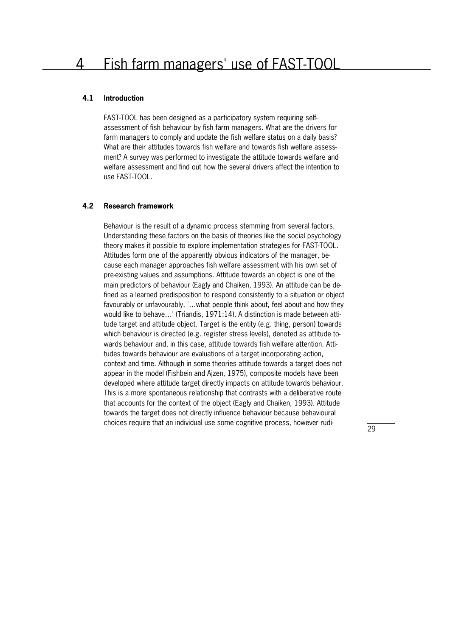### 4 Fish farm managers' use of FAST-TOOL

#### **4.1 Introduction**

FAST-TOOL has been designed as a participatory system requiring selfassessment of fish behaviour by fish farm managers. What are the drivers for farm managers to comply and update the fish welfare status on a daily basis? What are their attitudes towards fish welfare and towards fish welfare assessment? A survey was performed to investigate the attitude towards welfare and welfare assessment and find out how the several drivers affect the intention to use FAST-TOOL.

#### **4.2 Research framework**

Behaviour is the result of a dynamic process stemming from several factors. Understanding these factors on the basis of theories like the social psychology theory makes it possible to explore implementation strategies for FAST-TOOL. Attitudes form one of the apparently obvious indicators of the manager, because each manager approaches fish welfare assessment with his own set of pre"existing values and assumptions. Attitude towards an object is one of the main predictors of behaviour (Eagly and Chaiken, 1993). An attitude can be defined as a learned predisposition to respond consistently to a situation or object favourably or unfavourably, '…what people think about, feel about and how they would like to behave...' (Triandis,  $1971:14$ ). A distinction is made between attitude target and attitude object. Target is the entity (e.g. thing, person) towards which behaviour is directed (e.g. register stress levels), denoted as attitude towards behaviour and, in this case, attitude towards fish welfare attention. Attitudes towards behaviour are evaluations of a target incorporating action, context and time. Although in some theories attitude towards a target does not appear in the model (Fishbein and Ajzen, 1975), composite models have been developed where attitude target directly impacts on attitude towards behaviour. This is a more spontaneous relationship that contrasts with a deliberative route that accounts for the context of the object (Eagly and Chaiken, 1993). Attitude towards the target does not directly influence behaviour because behavioural choices require that an individual use some cognitive process, however rudi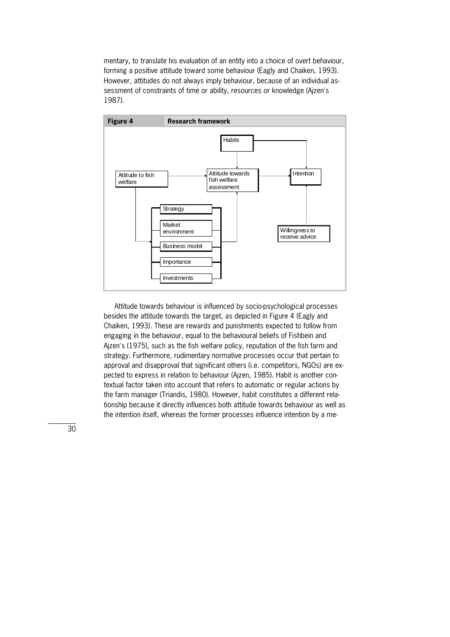mentary, to translate his evaluation of an entity into a choice of overt behaviour, forming a positive attitude toward some behaviour (Eagly and Chaiken, 1993). However, attitudes do not always imply behaviour, because of an individual assessment of constraints of time or ability, resources or knowledge (Ajzen's 1987).



Attitude towards behaviour is influenced by socio-psychological processes besides the attitude towards the target, as depicted in Figure 4 (Eagly and Chaiken, 1993). These are rewards and punishments expected to follow from engaging in the behaviour, equal to the behavioural beliefs of Fishbein and Ajzen's (1975), such as the fish welfare policy, reputation of the fish farm and strategy. Furthermore, rudimentary normative processes occur that pertain to approval and disapproval that significant others (i.e. competitors, NGOs) are expected to express in relation to behaviour (Aizen, 1985). Habit is another contextual factor taken into account that refers to automatic or regular actions by the farm manager (Triandis, 1980). However, habit constitutes a different rela" tionship because it directly influences both attitude towards behaviour as well as the intention itself, whereas the former processes influence intention by a me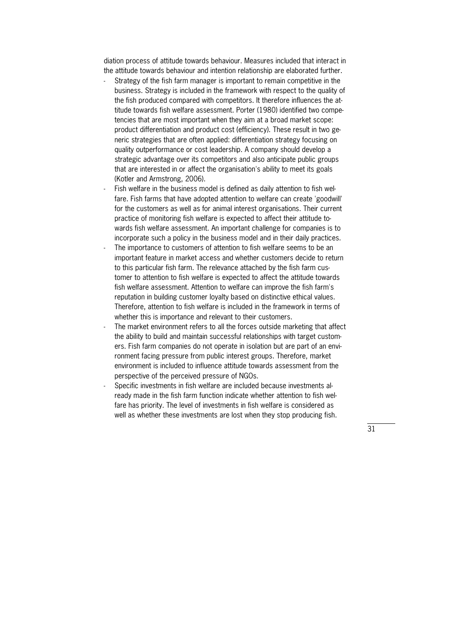diation process of attitude towards behaviour. Measures included that interact in the attitude towards behaviour and intention relationship are elaborated further.

- Strategy of the fish farm manager is important to remain competitive in the business. Strategy is included in the framework with respect to the quality of the fish produced compared with competitors. It therefore influences the attitude towards fish welfare assessment. Porter (1980) identified two competencies that are most important when they aim at a broad market scope: product differentiation and product cost (efficiency). These result in two generic strategies that are often applied: differentiation strategy focusing on quality outperformance or cost leadership. A company should develop a strategic advantage over its competitors and also anticipate public groups that are interested in or affect the organisation's ability to meet its goals (Kotler and Armstrong, 2006).
- Fish welfare in the business model is defined as daily attention to fish welfare. Fish farms that have adopted attention to welfare can create 'goodwill' for the customers as well as for animal interest organisations. Their current practice of monitoring fish welfare is expected to affect their attitude towards fish welfare assessment. An important challenge for companies is to incorporate such a policy in the business model and in their daily practices.
- The importance to customers of attention to fish welfare seems to be an important feature in market access and whether customers decide to return to this particular fish farm. The relevance attached by the fish farm customer to attention to fish welfare is expected to affect the attitude towards fish welfare assessment. Attention to welfare can improve the fish farm's reputation in building customer loyalty based on distinctive ethical values. Therefore, attention to fish welfare is included in the framework in terms of whether this is importance and relevant to their customers.
- The market environment refers to all the forces outside marketing that affect the ability to build and maintain successful relationships with target customers. Fish farm companies do not operate in isolation but are part of an environment facing pressure from public interest groups. Therefore, market environment is included to influence attitude towards assessment from the perspective of the perceived pressure of NGOs.
- Specific investments in fish welfare are included because investments already made in the fish farm function indicate whether attention to fish welfare has priority. The level of investments in fish welfare is considered as well as whether these investments are lost when they stop producing fish.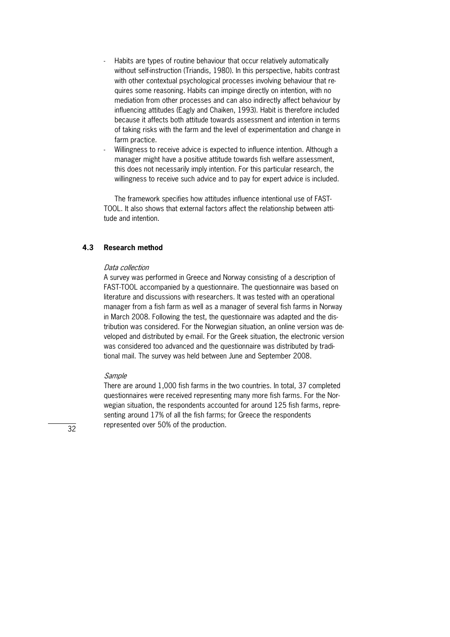- Habits are types of routine behaviour that occur relatively automatically without self-instruction (Triandis, 1980). In this perspective, habits contrast with other contextual psychological processes involving behaviour that requires some reasoning. Habits can impinge directly on intention, with no mediation from other processes and can also indirectly affect behaviour by influencing attitudes (Eagly and Chaiken, 1993). Habit is therefore included because it affects both attitude towards assessment and intention in terms of taking risks with the farm and the level of experimentation and change in farm practice.
- Willingness to receive advice is expected to influence intention. Although a manager might have a positive attitude towards fish welfare assessment, this does not necessarily imply intention. For this particular research, the willingness to receive such advice and to pay for expert advice is included.

The framework specifies how attitudes influence intentional use of FAST-TOOL. It also shows that external factors affect the relationship between attitude and intention.

#### **4.3 Research method**

#### Data collection

A survey was performed in Greece and Norway consisting of a description of FAST-TOOL accompanied by a questionnaire. The questionnaire was based on literature and discussions with researchers. It was tested with an operational manager from a fish farm as well as a manager of several fish farms in Norway in March 2008. Following the test, the questionnaire was adapted and the distribution was considered. For the Norwegian situation, an online version was developed and distributed by e-mail. For the Greek situation, the electronic version was considered too advanced and the questionnaire was distributed by traditional mail. The survey was held between June and September 2008.

#### Sample

There are around 1,000 fish farms in the two countries. In total, 37 completed questionnaires were received representing many more fish farms. For the Norwegian situation, the respondents accounted for around 125 fish farms, representing around 17% of all the fish farms; for Greece the respondents represented over 50% of the production.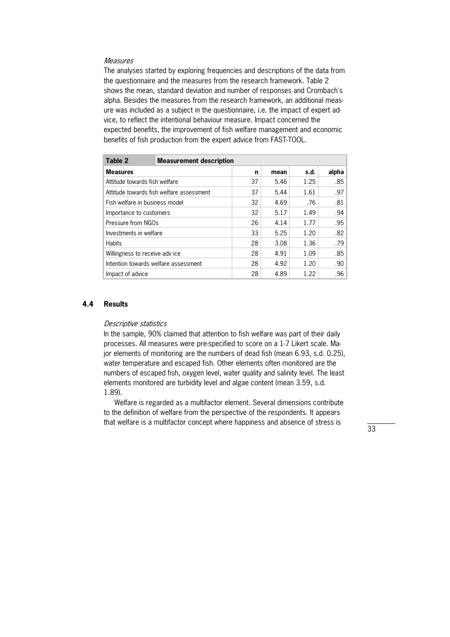#### **Measures**

The analyses started by exploring frequencies and descriptions of the data from the questionnaire and the measures from the research framework. Table 2 shows the mean, standard deviation and number of responses and Crombach's alpha. Besides the measures from the research framework, an additional measure was included as a subject in the questionnaire, i.e. the impact of expert advice, to reflect the intentional behaviour measure. Impact concerned the expected benefits, the improvement of fish welfare management and economic benefits of fish production from the expert advice from FAST-TOOL.

| Table 2                              | <b>Measurement description</b>           |      |      |      |       |
|--------------------------------------|------------------------------------------|------|------|------|-------|
| <b>Measures</b>                      |                                          | n    | mean | s.d. | alpha |
| Attitude towards fish welfare        |                                          | 37   | 5.46 | 1.25 | .85   |
|                                      | Attitude towards fish welfare assessment | 37   | 5.44 | 1.61 | .97   |
| Fish welfare in business model       |                                          | 32   | 4.69 | .76  | .81   |
| Importance to customers              | 32                                       | 5.17 | 1.49 | .94  |       |
| Pressure from NGOs                   |                                          | 26   | 4.14 | 1.77 | .95   |
| Investments in welfare               |                                          | 33   | 5.25 | 1.20 | .82   |
| <b>Habits</b>                        |                                          | 28   | 3.08 | 1.36 | .79   |
| Willingness to receive adv ice       |                                          | 28   | 4.91 | 1.09 | .85   |
| Intention towards welfare assessment |                                          | 28   | 4.92 | 1.20 | .90   |
| Impact of advice                     |                                          | 28   | 4.89 | 1.22 | .96   |

#### **4.4 Results**

#### Descriptive statistics

In the sample, 90% claimed that attention to fish welfare was part of their daily processes. All measures were pre-specified to score on a 1-7 Likert scale. Major elements of monitoring are the numbers of dead fish (mean 6.93, s.d. 0.25), water temperature and escaped fish. Other elements often monitored are the numbers of escaped fish, oxygen level, water quality and salinity level. The least elements monitored are turbidity level and algae content (mean 3.59, s.d. 1.89).

 Welfare is regarded as a multifactor element. Several dimensions contribute to the definition of welfare from the perspective of the respondents. It appears that welfare is a multifactor concept where happiness and absence of stress is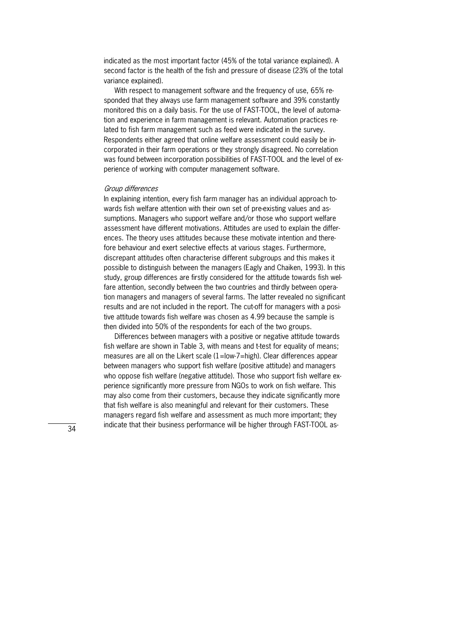indicated as the most important factor (45% of the total variance explained). A second factor is the health of the fish and pressure of disease (23% of the total variance explained).

With respect to management software and the frequency of use, 65% responded that they always use farm management software and 39% constantly monitored this on a daily basis. For the use of FAST-TOOL, the level of automation and experience in farm management is relevant. Automation practices related to fish farm management such as feed were indicated in the survey. Respondents either agreed that online welfare assessment could easily be incorporated in their farm operations or they strongly disagreed. No correlation was found between incorporation possibilities of FAST-TOOL and the level of experience of working with computer management software.

#### Group differences

In explaining intention, every fish farm manager has an individual approach towards fish welfare attention with their own set of pre-existing values and assumptions. Managers who support welfare and/or those who support welfare assessment have different motivations. Attitudes are used to explain the differences. The theory uses attitudes because these motivate intention and therefore behaviour and exert selective effects at various stages. Furthermore, discrepant attitudes often characterise different subgroups and this makes it possible to distinguish between the managers (Eagly and Chaiken, 1993). In this study, group differences are firstly considered for the attitude towards fish welfare attention, secondly between the two countries and thirdly between operation managers and managers of several farms. The latter revealed no significant results and are not included in the report. The cut-off for managers with a positive attitude towards fish welfare was chosen as 4.99 because the sample is then divided into 50% of the respondents for each of the two groups.

 Differences between managers with a positive or negative attitude towards fish welfare are shown in Table 3, with means and t-test for equality of means; measures are all on the Likert scale  $(1=low-7=high)$ . Clear differences appear between managers who support fish welfare (positive attitude) and managers who oppose fish welfare (negative attitude). Those who support fish welfare experience significantly more pressure from NGOs to work on fish welfare. This may also come from their customers, because they indicate significantly more that fish welfare is also meaningful and relevant for their customers. These managers regard fish welfare and assessment as much more important; they indicate that their business performance will be higher through FAST-TOOL as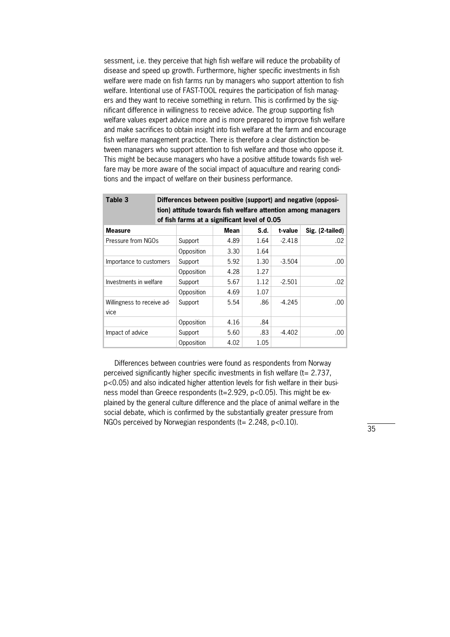sessment, i.e. they perceive that high fish welfare will reduce the probability of disease and speed up growth. Furthermore, higher specific investments in fish welfare were made on fish farms run by managers who support attention to fish welfare. Intentional use of FAST-TOOL requires the participation of fish managers and they want to receive something in return. This is confirmed by the significant difference in willingness to receive advice. The group supporting fish welfare values expert advice more and is more prepared to improve fish welfare and make sacrifices to obtain insight into fish welfare at the farm and encourage fish welfare management practice. There is therefore a clear distinction between managers who support attention to fish welfare and those who oppose it. This might be because managers who have a positive attitude towards fish welfare may be more aware of the social impact of aquaculture and rearing conditions and the impact of welfare on their business performance.

| Table 3                    | Differences between positive (support) and negative (opposi-<br>tion) attitude towards fish welfare attention among managers |            |      |      |          |                 |  |
|----------------------------|------------------------------------------------------------------------------------------------------------------------------|------------|------|------|----------|-----------------|--|
|                            | of fish farms at a significant level of 0.05                                                                                 |            |      |      |          |                 |  |
| <b>Measure</b>             |                                                                                                                              |            | Mean | S.d. | t-value  | Sig. (2-tailed) |  |
| Pressure from NGOs         |                                                                                                                              | Support    | 4.89 | 1.64 | $-2.418$ | .02             |  |
|                            |                                                                                                                              | Opposition | 3.30 | 1.64 |          |                 |  |
| Importance to customers    |                                                                                                                              | Support    | 5.92 | 1.30 | $-3.504$ | .00             |  |
|                            |                                                                                                                              | Opposition | 4.28 | 1.27 |          |                 |  |
| Investments in welfare     |                                                                                                                              | Support    | 5.67 | 1.12 | $-2.501$ | .02             |  |
|                            |                                                                                                                              | Opposition | 4.69 | 1.07 |          |                 |  |
| Willingness to receive ad- |                                                                                                                              | Support    | 5.54 | .86  | $-4.245$ | .00             |  |
| vice                       |                                                                                                                              |            |      |      |          |                 |  |
|                            |                                                                                                                              | Opposition | 4.16 | .84  |          |                 |  |
| Impact of advice           |                                                                                                                              | Support    | 5.60 | .83  | $-4.402$ | .00             |  |
|                            |                                                                                                                              | Opposition | 4.02 | 1.05 |          |                 |  |

 Differences between countries were found as respondents from Norway perceived significantly higher specific investments in fish welfare (t= 2.737,  $p<0.05$ ) and also indicated higher attention levels for fish welfare in their business model than Greece respondents ( $t=2.929$ ,  $p<0.05$ ). This might be explained by the general culture difference and the place of animal welfare in the social debate, which is confirmed by the substantially greater pressure from NGOs perceived by Norwegian respondents ( $t= 2.248$ , p<0.10).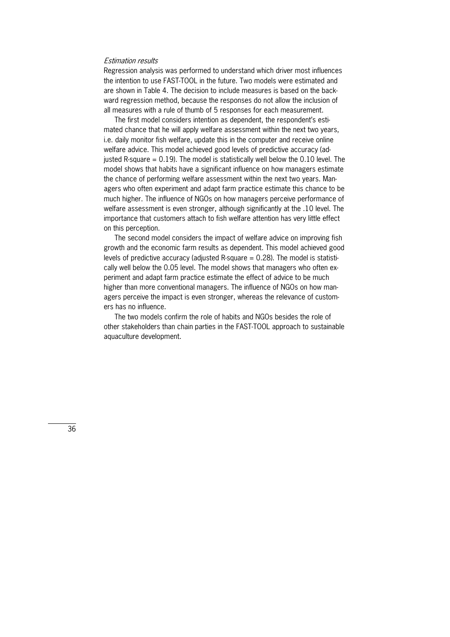#### Estimation results

Regression analysis was performed to understand which driver most influences the intention to use FAST-TOOL in the future. Two models were estimated and are shown in Table 4. The decision to include measures is based on the backward regression method, because the responses do not allow the inclusion of all measures with a rule of thumb of 5 responses for each measurement.

The first model considers intention as dependent, the respondent's estimated chance that he will apply welfare assessment within the next two years, i.e. daily monitor fish welfare, update this in the computer and receive online welfare advice. This model achieved good levels of predictive accuracy (adjusted R-square  $= 0.19$ ). The model is statistically well below the 0.10 level. The model shows that habits have a significant influence on how managers estimate the chance of performing welfare assessment within the next two vears. Managers who often experiment and adapt farm practice estimate this chance to be much higher. The influence of NGOs on how managers perceive performance of welfare assessment is even stronger, although significantly at the .10 level. The importance that customers attach to fish welfare attention has very little effect on this perception.

 The second model considers the impact of welfare advice on improving fish growth and the economic farm results as dependent. This model achieved good levels of predictive accuracy (adjusted R-square  $= 0.28$ ). The model is statistically well below the 0.05 level. The model shows that managers who often experiment and adapt farm practice estimate the effect of advice to be much higher than more conventional managers. The influence of NGOs on how managers perceive the impact is even stronger, whereas the relevance of customers has no influence.

 The two models confirm the role of habits and NGOs besides the role of other stakeholders than chain parties in the FAST-TOOL approach to sustainable aquaculture development.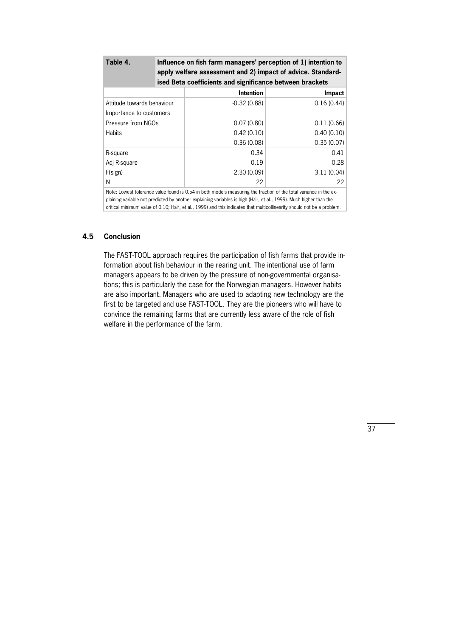| Table 4.                   | Influence on fish farm managers' perception of 1) intention to<br>apply welfare assessment and 2) impact of advice. Standard-<br>ised Beta coefficients and significance between brackets |               |  |  |  |
|----------------------------|-------------------------------------------------------------------------------------------------------------------------------------------------------------------------------------------|---------------|--|--|--|
|                            | <b>Intention</b>                                                                                                                                                                          | <b>Impact</b> |  |  |  |
| Attitude towards behaviour | $-0.32(0.88)$                                                                                                                                                                             | 0.16(0.44)    |  |  |  |
| Importance to customers    |                                                                                                                                                                                           |               |  |  |  |
| Pressure from NGOs         | 0.07(0.80)                                                                                                                                                                                | 0.11(0.66)    |  |  |  |
| <b>Habits</b>              | 0.42(0.10)                                                                                                                                                                                | 0.40(0.10)    |  |  |  |
|                            | 0.36(0.08)                                                                                                                                                                                | 0.35(0.07)    |  |  |  |
| R-square                   | 0.34                                                                                                                                                                                      | 0.41          |  |  |  |
| Adj R-square               | 0.19                                                                                                                                                                                      | 0.28          |  |  |  |
| F(sign)                    | 2.30(0.09)                                                                                                                                                                                | 3.11(0.04)    |  |  |  |
| Ν                          | 22                                                                                                                                                                                        | 22            |  |  |  |

Note: Lowest tolerance value found is 0.54 in both models measuring the fraction of the total variance in the explaining variable not predicted by another explaining variables is high (Hair, et al., 1999). Much higher than the critical minimum value of 0.10; Hair, et al., 1999) and this indicates that multicollinearity should not be a problem.

#### **4.5 Conclusion**

The FAST-TOOL approach requires the participation of fish farms that provide information about fish behaviour in the rearing unit. The intentional use of farm managers appears to be driven by the pressure of non-governmental organisations; this is particularly the case for the Norwegian managers. However habits are also important. Managers who are used to adapting new technology are the first to be targeted and use FAST-TOOL. They are the pioneers who will have to convince the remaining farms that are currently less aware of the role of fish welfare in the performance of the farm.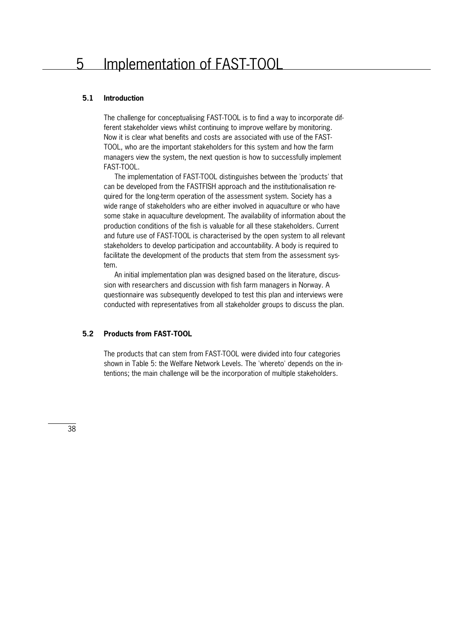### 5 Implementation of FAST-TOOL

#### **5.1 Introduction**

The challenge for conceptualising FAST-TOOL is to find a way to incorporate different stakeholder views whilst continuing to improve welfare by monitoring. Now it is clear what benefits and costs are associated with use of the FAST-TOOL, who are the important stakeholders for this system and how the farm managers view the system, the next question is how to successfully implement FAST-TOOL.

The implementation of FAST-TOOL distinguishes between the 'products' that can be developed from the FASTFISH approach and the institutionalisation required for the long-term operation of the assessment system. Society has a wide range of stakeholders who are either involved in aquaculture or who have some stake in aquaculture development. The availability of information about the production conditions of the fish is valuable for all these stakeholders. Current and future use of FAST-TOOL is characterised by the open system to all relevant stakeholders to develop participation and accountability. A body is required to facilitate the development of the products that stem from the assessment system.

An initial implementation plan was designed based on the literature, discussion with researchers and discussion with fish farm managers in Norway. A questionnaire was subsequently developed to test this plan and interviews were conducted with representatives from all stakeholder groups to discuss the plan.

#### **5.2 Products from FAST-TOOL**

The products that can stem from FAST-TOOL were divided into four categories shown in Table 5: the Welfare Network Levels. The 'whereto' depends on the intentions; the main challenge will be the incorporation of multiple stakeholders.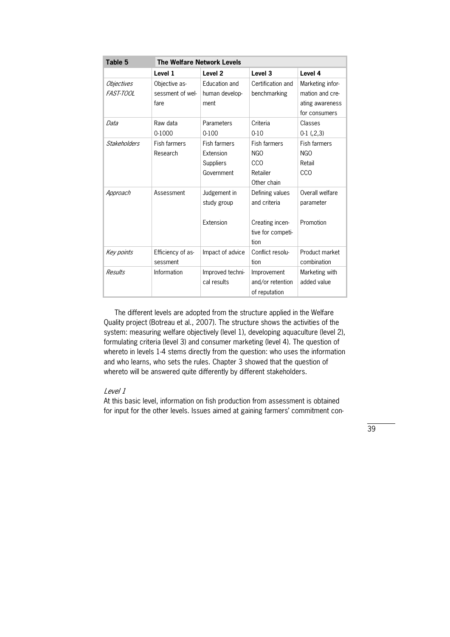| Table 5<br><b>The Welfare Network Levels</b> |                     |                     |                     |                     |  |
|----------------------------------------------|---------------------|---------------------|---------------------|---------------------|--|
|                                              | Level 1             | Level <sub>2</sub>  | Level <sub>3</sub>  | Level 4             |  |
| <i><b>Objectives</b></i>                     | Objective as-       | Education and       | Certification and   | Marketing infor-    |  |
| <i>FAST-TOOL</i>                             | sessment of wel-    | human develop-      | benchmarking        | mation and cre-     |  |
|                                              | fare                | ment                |                     | ating awareness     |  |
|                                              |                     |                     |                     | for consumers       |  |
| Data                                         | Raw data            | Parameters          | Criteria            | Classes             |  |
|                                              | 0-1000              | $0 - 100$           | $0 - 10$            | $0-1$ $(2,3)$       |  |
| <b>Stakeholders</b>                          | <b>Fish farmers</b> | <b>Fish farmers</b> | <b>Fish farmers</b> | <b>Fish farmers</b> |  |
|                                              | Research            | Extension           | NGO                 | NGO                 |  |
|                                              |                     | Suppliers           | CCO                 | Retail              |  |
|                                              |                     | Government          | Retailer            | CCO                 |  |
|                                              |                     |                     | Other chain         |                     |  |
| Approach                                     | Assessment          | Judgement in        | Defining values     | Overall welfare     |  |
|                                              |                     | study group         | and criteria        | parameter           |  |
|                                              |                     |                     |                     |                     |  |
|                                              |                     | Extension           | Creating incen-     | Promotion           |  |
|                                              |                     |                     | tive for competi-   |                     |  |
|                                              |                     |                     | tion                |                     |  |
| Key points                                   | Efficiency of as-   | Impact of advice    | Conflict resolu-    | Product market      |  |
|                                              | sessment            |                     | tion                | combination         |  |
| Results                                      | Information         | Improved techni-    | Improvement         | Marketing with      |  |
|                                              |                     | cal results         | and/or retention    | added value         |  |
|                                              |                     |                     | of reputation       |                     |  |

 The different levels are adopted from the structure applied in the Welfare Quality project (Botreau et al., 2007). The structure shows the activities of the system: measuring welfare objectively (level 1), developing aquaculture (level 2), formulating criteria (level 3) and consumer marketing (level 4). The question of whereto in levels 1-4 stems directly from the question: who uses the information and who learns, who sets the rules. Chapter 3 showed that the question of whereto will be answered quite differently by different stakeholders.

#### Level 1

At this basic level, information on fish production from assessment is obtained for input for the other levels. Issues aimed at gaining farmers' commitment con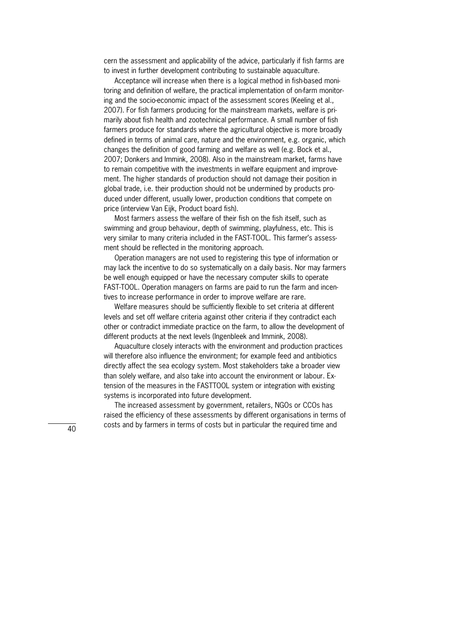cern the assessment and applicability of the advice, particularly if fish farms are to invest in further development contributing to sustainable aquaculture.

Acceptance will increase when there is a logical method in fish-based monitoring and definition of welfare, the practical implementation of on-farm monitoring and the socio-economic impact of the assessment scores (Keeling et al., 2007). For fish farmers producing for the mainstream markets, welfare is primarily about fish health and zootechnical performance. A small number of fish farmers produce for standards where the agricultural objective is more broadly defined in terms of animal care, nature and the environment, e.g. organic, which changes the definition of good farming and welfare as well (e.g. Bock et al., 2007; Donkers and Immink, 2008). Also in the mainstream market, farms have to remain competitive with the investments in welfare equipment and improvement. The higher standards of production should not damage their position in global trade, i.e. their production should not be undermined by products produced under different, usually lower, production conditions that compete on price (interview Van Eijk, Product board fish).

 Most farmers assess the welfare of their fish on the fish itself, such as swimming and group behaviour, depth of swimming, playfulness, etc. This is very similar to many criteria included in the FAST-TOOL. This farmer's assessment should be reflected in the monitoring approach.

 Operation managers are not used to registering this type of information or may lack the incentive to do so systematically on a daily basis. Nor may farmers be well enough equipped or have the necessary computer skills to operate FAST-TOOL. Operation managers on farms are paid to run the farm and incentives to increase performance in order to improve welfare are rare.

 Welfare measures should be sufficiently flexible to set criteria at different levels and set off welfare criteria against other criteria if they contradict each other or contradict immediate practice on the farm, to allow the development of different products at the next levels (Ingenbleek and Immink, 2008).

 Aquaculture closely interacts with the environment and production practices will therefore also influence the environment; for example feed and antibiotics directly affect the sea ecology system. Most stakeholders take a broader view than solely welfare, and also take into account the environment or labour. Extension of the measures in the FASTTOOL system or integration with existing systems is incorporated into future development.

 The increased assessment by government, retailers, NGOs or CCOs has raised the efficiency of these assessments by different organisations in terms of costs and by farmers in terms of costs but in particular the required time and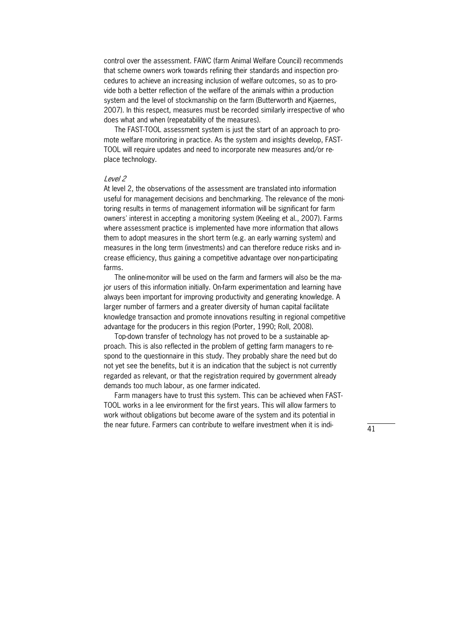control over the assessment. FAWC (farm Animal Welfare Council) recommends that scheme owners work towards refining their standards and inspection procedures to achieve an increasing inclusion of welfare outcomes, so as to provide both a better reflection of the welfare of the animals within a production system and the level of stockmanship on the farm (Butterworth and Kjaernes, 2007). In this respect, measures must be recorded similarly irrespective of who does what and when (repeatability of the measures).

The FAST-TOOL assessment system is just the start of an approach to promote welfare monitoring in practice. As the system and insights develop, FAST-TOOL will require updates and need to incorporate new measures and/or replace technology.

#### Level 2

At level 2, the observations of the assessment are translated into information useful for management decisions and benchmarking. The relevance of the monitoring results in terms of management information will be significant for farm owners' interest in accepting a monitoring system (Keeling et al., 2007). Farms where assessment practice is implemented have more information that allows them to adopt measures in the short term (e.g. an early warning system) and measures in the long term (investments) and can therefore reduce risks and increase efficiency, thus gaining a competitive advantage over non-participating farms.

The online-monitor will be used on the farm and farmers will also be the major users of this information initially. On-farm experimentation and learning have always been important for improving productivity and generating knowledge. A larger number of farmers and a greater diversity of human capital facilitate knowledge transaction and promote innovations resulting in regional competitive advantage for the producers in this region (Porter, 1990; Roll, 2008).

Top-down transfer of technology has not proved to be a sustainable approach. This is also reflected in the problem of getting farm managers to respond to the questionnaire in this study. They probably share the need but do not yet see the benefits, but it is an indication that the subject is not currently regarded as relevant, or that the registration required by government already demands too much labour, as one farmer indicated.

Farm managers have to trust this system. This can be achieved when FAST-TOOL works in a lee environment for the first years. This will allow farmers to work without obligations but become aware of the system and its potential in the near future. Farmers can contribute to welfare investment when it is indi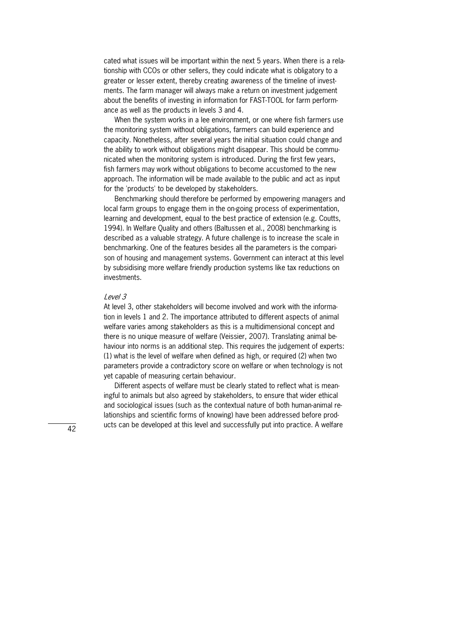cated what issues will be important within the next 5 years. When there is a relationship with CCOs or other sellers, they could indicate what is obligatory to a greater or lesser extent, thereby creating awareness of the timeline of investments. The farm manager will always make a return on investment judgement about the benefits of investing in information for FAST-TOOL for farm performance as well as the products in levels 3 and 4.

 When the system works in a lee environment, or one where fish farmers use the monitoring system without obligations, farmers can build experience and capacity. Nonetheless, after several years the initial situation could change and the ability to work without obligations might disappear. This should be communicated when the monitoring system is introduced. During the first few years, fish farmers may work without obligations to become accustomed to the new approach. The information will be made available to the public and act as input for the 'products' to be developed by stakeholders.

 Benchmarking should therefore be performed by empowering managers and local farm groups to engage them in the on-going process of experimentation, learning and development, equal to the best practice of extension (e.g. Coutts, 1994). In Welfare Quality and others (Baltussen et al., 2008) benchmarking is described as a valuable strategy. A future challenge is to increase the scale in benchmarking. One of the features besides all the parameters is the comparison of housing and management systems. Government can interact at this level by subsidising more welfare friendly production systems like tax reductions on investments.

#### Level 3

At level 3, other stakeholders will become involved and work with the information in levels 1 and 2. The importance attributed to different aspects of animal welfare varies among stakeholders as this is a multidimensional concept and there is no unique measure of welfare (Veissier, 2007). Translating animal behaviour into norms is an additional step. This requires the judgement of experts: (1) what is the level of welfare when defined as high, or required (2) when two parameters provide a contradictory score on welfare or when technology is not yet capable of measuring certain behaviour.

Different aspects of welfare must be clearly stated to reflect what is meaningful to animals but also agreed by stakeholders, to ensure that wider ethical and sociological issues (such as the contextual nature of both human-animal relationships and scientific forms of knowing) have been addressed before products can be developed at this level and successfully put into practice. A welfare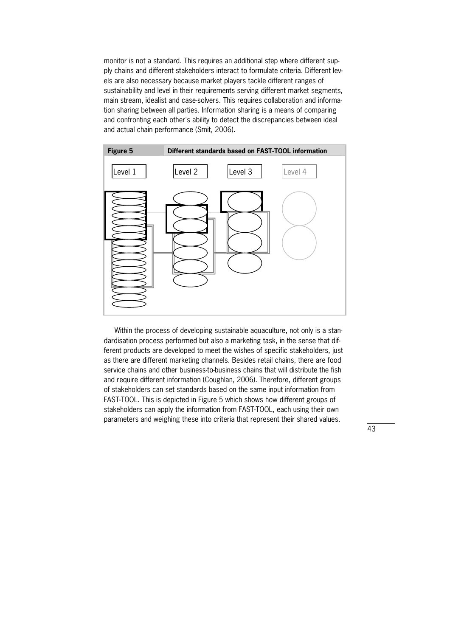monitor is not a standard. This requires an additional step where different supply chains and different stakeholders interact to formulate criteria. Different levels are also necessary because market players tackle different ranges of sustainability and level in their requirements serving different market segments, main stream, idealist and case-solvers. This requires collaboration and information sharing between all parties. Information sharing is a means of comparing and confronting each other's ability to detect the discrepancies between ideal and actual chain performance (Smit, 2006).



Within the process of developing sustainable aquaculture, not only is a standardisation process performed but also a marketing task, in the sense that different products are developed to meet the wishes of specific stakeholders, just as there are different marketing channels. Besides retail chains, there are food service chains and other business-to-business chains that will distribute the fish and require different information (Coughlan, 2006). Therefore, different groups of stakeholders can set standards based on the same input information from FAST-TOOL. This is depicted in Figure 5 which shows how different groups of stakeholders can apply the information from FAST-TOOL, each using their own parameters and weighing these into criteria that represent their shared values.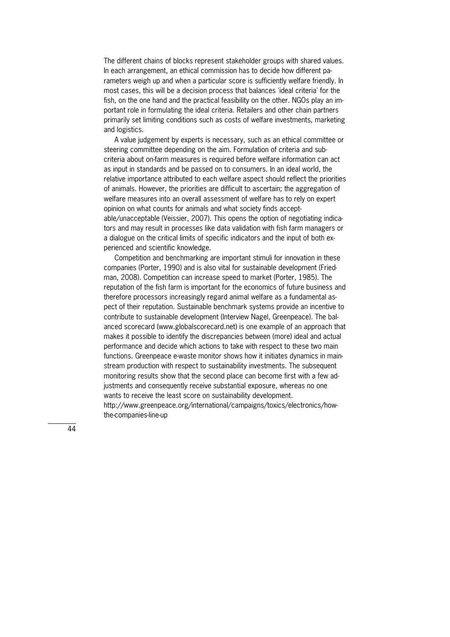The different chains of blocks represent stakeholder groups with shared values. In each arrangement, an ethical commission has to decide how different parameters weigh up and when a particular score is sufficiently welfare friendly. In most cases, this will be a decision process that balances 'ideal criteria' for the fish, on the one hand and the practical feasibility on the other. NGOs play an important role in formulating the ideal criteria. Retailers and other chain partners primarily set limiting conditions such as costs of welfare investments, marketing and logistics.

 A value judgement by experts is necessary, such as an ethical committee or steering committee depending on the aim. Formulation of criteria and subcriteria about on"farm measures is required before welfare information can act as input in standards and be passed on to consumers. In an ideal world, the relative importance attributed to each welfare aspect should reflect the priorities of animals. However, the priorities are difficult to ascertain; the aggregation of welfare measures into an overall assessment of welfare has to rely on expert opinion on what counts for animals and what society finds acceptable/unacceptable (Veissier, 2007). This opens the option of negotiating indicators and may result in processes like data validation with fish farm managers or a dialogue on the critical limits of specific indicators and the input of both experienced and scientific knowledge.

 Competition and benchmarking are important stimuli for innovation in these companies (Porter, 1990) and is also vital for sustainable development (Friedman, 2008). Competition can increase speed to market (Porter, 1985). The reputation of the fish farm is important for the economics of future business and therefore processors increasingly regard animal welfare as a fundamental aspect of their reputation. Sustainable benchmark systems provide an incentive to contribute to sustainable development (Interview Nagel, Greenpeace). The balanced scorecard (www.globalscorecard.net) is one example of an approach that makes it possible to identify the discrepancies between (more) ideal and actual performance and decide which actions to take with respect to these two main functions. Greenpeace e-waste monitor shows how it initiates dynamics in mainstream production with respect to sustainability investments. The subsequent monitoring results show that the second place can become first with a few adjustments and consequently receive substantial exposure, whereas no one wants to receive the least score on sustainability development. http://www.greenpeace.org/international/campaigns/toxics/electronics/how-

the-companies-line-up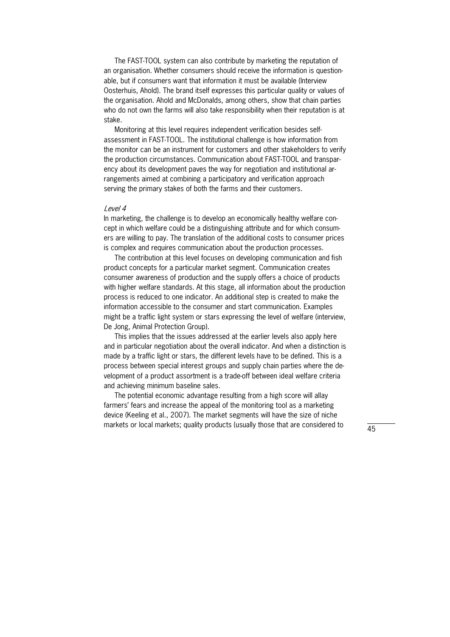The FAST-TOOL system can also contribute by marketing the reputation of an organisation. Whether consumers should receive the information is questionable, but if consumers want that information it must be available (Interview Oosterhuis, Ahold). The brand itself expresses this particular quality or values of the organisation. Ahold and McDonalds, among others, show that chain parties who do not own the farms will also take responsibility when their reputation is at stake.

Monitoring at this level requires independent verification besides selfassessment in FAST-TOOL. The institutional challenge is how information from the monitor can be an instrument for customers and other stakeholders to verify the production circumstances. Communication about FAST-TOOL and transparency about its development paves the way for negotiation and institutional arrangements aimed at combining a participatory and verification approach serving the primary stakes of both the farms and their customers.

#### Level 4

In marketing, the challenge is to develop an economically healthy welfare concept in which welfare could be a distinguishing attribute and for which consumers are willing to pay. The translation of the additional costs to consumer prices is complex and requires communication about the production processes.

 The contribution at this level focuses on developing communication and fish product concepts for a particular market segment. Communication creates consumer awareness of production and the supply offers a choice of products with higher welfare standards. At this stage, all information about the production process is reduced to one indicator. An additional step is created to make the information accessible to the consumer and start communication. Examples might be a traffic light system or stars expressing the level of welfare (interview, De Jong, Animal Protection Group).

 This implies that the issues addressed at the earlier levels also apply here and in particular negotiation about the overall indicator. And when a distinction is made by a traffic light or stars, the different levels have to be defined. This is a process between special interest groups and supply chain parties where the development of a product assortment is a trade"off between ideal welfare criteria and achieving minimum baseline sales.

 The potential economic advantage resulting from a high score will allay farmers' fears and increase the appeal of the monitoring tool as a marketing device (Keeling et al., 2007). The market segments will have the size of niche markets or local markets; quality products (usually those that are considered to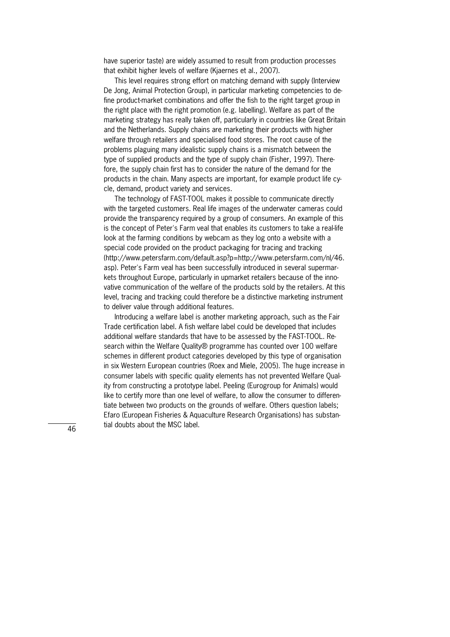have superior taste) are widely assumed to result from production processes that exhibit higher levels of welfare (Kjaernes et al., 2007).

 This level requires strong effort on matching demand with supply (Interview De Jong, Animal Protection Group), in particular marketing competencies to define product-market combinations and offer the fish to the right target group in the right place with the right promotion (e.g. labelling). Welfare as part of the marketing strategy has really taken off, particularly in countries like Great Britain and the Netherlands. Supply chains are marketing their products with higher welfare through retailers and specialised food stores. The root cause of the problems plaguing many idealistic supply chains is a mismatch between the type of supplied products and the type of supply chain (Fisher, 1997). Therefore, the supply chain first has to consider the nature of the demand for the products in the chain. Many aspects are important, for example product life cycle, demand, product variety and services.

The technology of FAST-TOOL makes it possible to communicate directly with the targeted customers. Real life images of the underwater cameras could provide the transparency required by a group of consumers. An example of this is the concept of Peter's Farm veal that enables its customers to take a real-life look at the farming conditions by webcam as they log onto a website with a special code provided on the product packaging for tracing and tracking (http://www.petersfarm.com/default.asp?p=http://www.petersfarm.com/nl/46. asp). Peter's Farm veal has been successfully introduced in several supermarkets throughout Europe, particularly in upmarket retailers because of the innovative communication of the welfare of the products sold by the retailers. At this level, tracing and tracking could therefore be a distinctive marketing instrument to deliver value through additional features.

 Introducing a welfare label is another marketing approach, such as the Fair Trade certification label. A fish welfare label could be developed that includes additional welfare standards that have to be assessed by the FAST-TOOL. Research within the Welfare Quality® programme has counted over 100 welfare schemes in different product categories developed by this type of organisation in six Western European countries (Roex and Miele, 2005). The huge increase in consumer labels with specific quality elements has not prevented Welfare Quality from constructing a prototype label. Peeling (Eurogroup for Animals) would like to certify more than one level of welfare, to allow the consumer to differentiate between two products on the grounds of welfare. Others question labels; Efaro (European Fisheries & Aquaculture Research Organisations) has substan" tial doubts about the MSC label.

46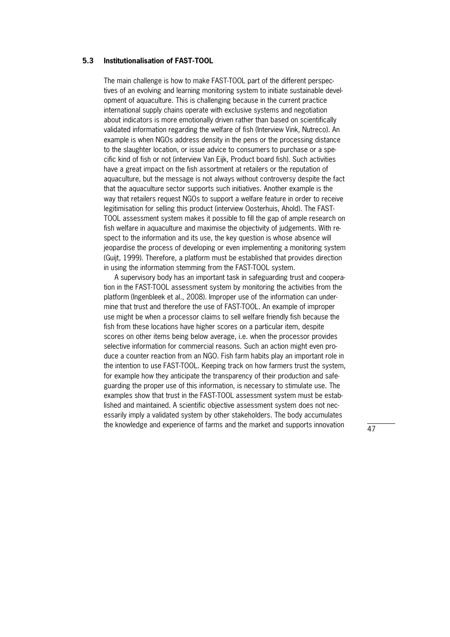#### **5.3** Institutionalisation of FAST-TOOL

The main challenge is how to make FAST-TOOL part of the different perspectives of an evolving and learning monitoring system to initiate sustainable development of aquaculture. This is challenging because in the current practice international supply chains operate with exclusive systems and negotiation about indicators is more emotionally driven rather than based on scientifically validated information regarding the welfare of fish (Interview Vink, Nutreco). An example is when NGOs address density in the pens or the processing distance to the slaughter location, or issue advice to consumers to purchase or a specific kind of fish or not (interview Van Eijk, Product board fish). Such activities have a great impact on the fish assortment at retailers or the reputation of aquaculture, but the message is not always without controversy despite the fact that the aquaculture sector supports such initiatives. Another example is the way that retailers request NGOs to support a welfare feature in order to receive legitimisation for selling this product (interview Oosterhuis, Ahold). The FAST-TOOL assessment system makes it possible to fill the gap of ample research on fish welfare in aquaculture and maximise the objectivity of judgements. With respect to the information and its use, the key question is whose absence will jeopardise the process of developing or even implementing a monitoring system (Guijt, 1999). Therefore, a platform must be established that provides direction in using the information stemming from the FAST-TOOL system.

A supervisory body has an important task in safeguarding trust and cooperation in the FAST-TOOL assessment system by monitoring the activities from the platform (Ingenbleek et al., 2008). Improper use of the information can undermine that trust and therefore the use of FAST-TOOL. An example of improper use might be when a processor claims to sell welfare friendly fish because the fish from these locations have higher scores on a particular item, despite scores on other items being below average, i.e. when the processor provides selective information for commercial reasons. Such an action might even produce a counter reaction from an NGO. Fish farm habits play an important role in the intention to use FAST-TOOL. Keeping track on how farmers trust the system, for example how they anticipate the transparency of their production and safeguarding the proper use of this information, is necessary to stimulate use. The examples show that trust in the FAST-TOOL assessment system must be established and maintained. A scientific objective assessment system does not necessarily imply a validated system by other stakeholders. The body accumulates the knowledge and experience of farms and the market and supports innovation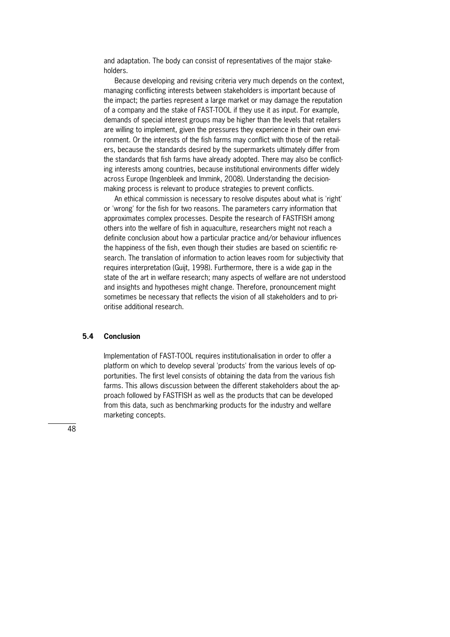and adaptation. The body can consist of representatives of the major stakeholders.

 Because developing and revising criteria very much depends on the context, managing conflicting interests between stakeholders is important because of the impact; the parties represent a large market or may damage the reputation of a company and the stake of FAST-TOOL if they use it as input. For example, demands of special interest groups may be higher than the levels that retailers are willing to implement, given the pressures they experience in their own environment. Or the interests of the fish farms may conflict with those of the retailers, because the standards desired by the supermarkets ultimately differ from the standards that fish farms have already adopted. There may also be conflicting interests among countries, because institutional environments differ widely across Europe (Ingenbleek and Immink, 2008). Understanding the decisionmaking process is relevant to produce strategies to prevent conflicts.

 An ethical commission is necessary to resolve disputes about what is 'right' or 'wrong' for the fish for two reasons. The parameters carry information that approximates complex processes. Despite the research of FASTFISH among others into the welfare of fish in aquaculture, researchers might not reach a definite conclusion about how a particular practice and/or behaviour influences the happiness of the fish, even though their studies are based on scientific research. The translation of information to action leaves room for subjectivity that requires interpretation (Guijt, 1998). Furthermore, there is a wide gap in the state of the art in welfare research; many aspects of welfare are not understood and insights and hypotheses might change. Therefore, pronouncement might sometimes be necessary that reflects the vision of all stakeholders and to prioritise additional research.

#### **5.4 Conclusion**

Implementation of FAST-TOOL requires institutionalisation in order to offer a platform on which to develop several 'products' from the various levels of opportunities. The first level consists of obtaining the data from the various fish farms. This allows discussion between the different stakeholders about the approach followed by FASTFISH as well as the products that can be developed from this data, such as benchmarking products for the industry and welfare marketing concepts.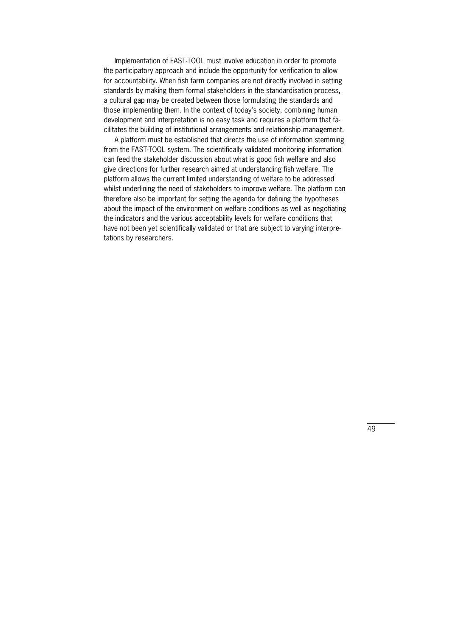Implementation of FAST-TOOL must involve education in order to promote the participatory approach and include the opportunity for verification to allow for accountability. When fish farm companies are not directly involved in setting standards by making them formal stakeholders in the standardisation process, a cultural gap may be created between those formulating the standards and those implementing them. In the context of today's society, combining human development and interpretation is no easy task and requires a platform that facilitates the building of institutional arrangements and relationship management.

 A platform must be established that directs the use of information stemming from the FAST-TOOL system. The scientifically validated monitoring information can feed the stakeholder discussion about what is good fish welfare and also give directions for further research aimed at understanding fish welfare. The platform allows the current limited understanding of welfare to be addressed whilst underlining the need of stakeholders to improve welfare. The platform can therefore also be important for setting the agenda for defining the hypotheses about the impact of the environment on welfare conditions as well as negotiating the indicators and the various acceptability levels for welfare conditions that have not been yet scientifically validated or that are subject to varying interpretations by researchers.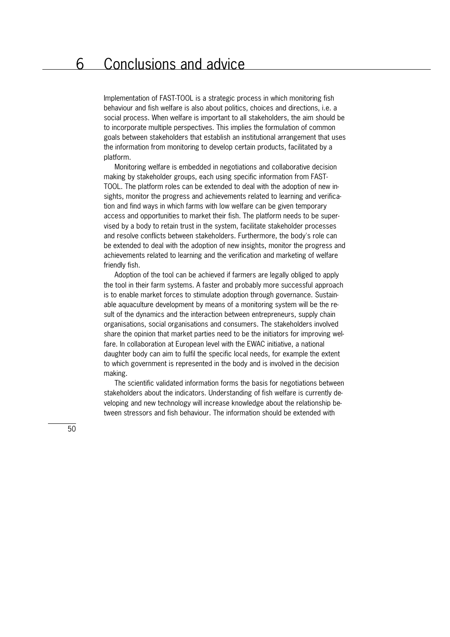### 6 Conclusions and advice

Implementation of FAST-TOOL is a strategic process in which monitoring fish behaviour and fish welfare is also about politics, choices and directions, i.e. a social process. When welfare is important to all stakeholders, the aim should be to incorporate multiple perspectives. This implies the formulation of common goals between stakeholders that establish an institutional arrangement that uses the information from monitoring to develop certain products, facilitated by a platform.

 Monitoring welfare is embedded in negotiations and collaborative decision making by stakeholder groups, each using specific information from FAST-TOOL. The platform roles can be extended to deal with the adoption of new insights, monitor the progress and achievements related to learning and verification and find ways in which farms with low welfare can be given temporary access and opportunities to market their fish. The platform needs to be supervised by a body to retain trust in the system, facilitate stakeholder processes and resolve conflicts between stakeholders. Furthermore, the body's role can be extended to deal with the adoption of new insights, monitor the progress and achievements related to learning and the verification and marketing of welfare friendly fish.

 Adoption of the tool can be achieved if farmers are legally obliged to apply the tool in their farm systems. A faster and probably more successful approach is to enable market forces to stimulate adoption through governance. Sustainable aquaculture development by means of a monitoring system will be the result of the dynamics and the interaction between entrepreneurs, supply chain organisations, social organisations and consumers. The stakeholders involved share the opinion that market parties need to be the initiators for improving welfare. In collaboration at European level with the EWAC initiative, a national daughter body can aim to fulfil the specific local needs, for example the extent to which government is represented in the body and is involved in the decision making.

 The scientific validated information forms the basis for negotiations between stakeholders about the indicators. Understanding of fish welfare is currently developing and new technology will increase knowledge about the relationship between stressors and fish behaviour. The information should be extended with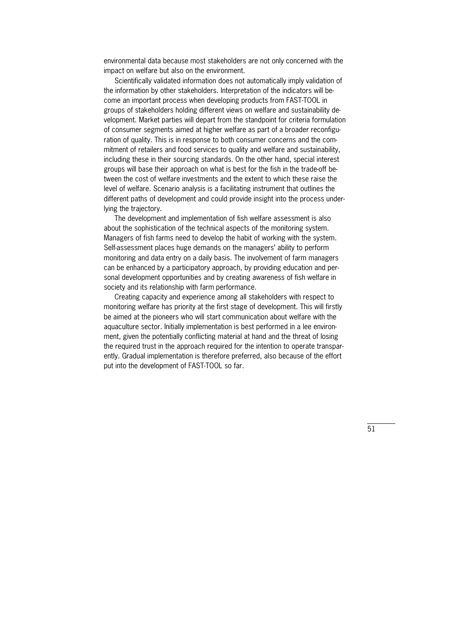environmental data because most stakeholders are not only concerned with the impact on welfare but also on the environment.

 Scientifically validated information does not automatically imply validation of the information by other stakeholders. Interpretation of the indicators will become an important process when developing products from FAST-TOOL in groups of stakeholders holding different views on welfare and sustainability development. Market parties will depart from the standpoint for criteria formulation of consumer segments aimed at higher welfare as part of a broader reconfiguration of quality. This is in response to both consumer concerns and the commitment of retailers and food services to quality and welfare and sustainability, including these in their sourcing standards. On the other hand, special interest groups will base their approach on what is best for the fish in the trade-off between the cost of welfare investments and the extent to which these raise the level of welfare. Scenario analysis is a facilitating instrument that outlines the different paths of development and could provide insight into the process underlying the trajectory.

 The development and implementation of fish welfare assessment is also about the sophistication of the technical aspects of the monitoring system. Managers of fish farms need to develop the habit of working with the system. Self-assessment places huge demands on the managers' ability to perform monitoring and data entry on a daily basis. The involvement of farm managers can be enhanced by a participatory approach, by providing education and personal development opportunities and by creating awareness of fish welfare in society and its relationship with farm performance.

 Creating capacity and experience among all stakeholders with respect to monitoring welfare has priority at the first stage of development. This will firstly be aimed at the pioneers who will start communication about welfare with the aquaculture sector. Initially implementation is best performed in a lee environment, given the potentially conflicting material at hand and the threat of losing the required trust in the approach required for the intention to operate transparently. Gradual implementation is therefore preferred, also because of the effort put into the development of FAST-TOOL so far.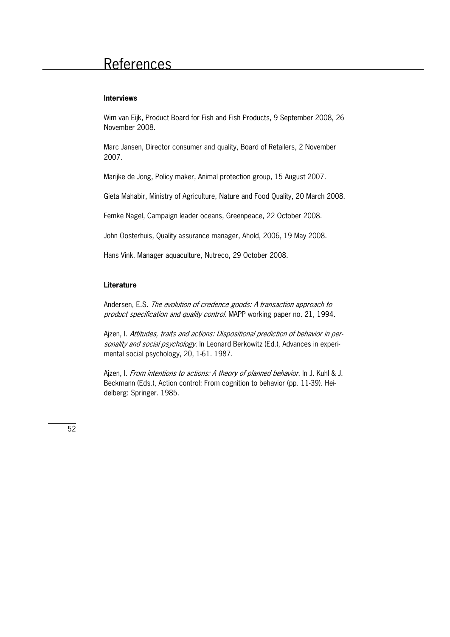### References

#### **Interviews**

Wim van Eijk, Product Board for Fish and Fish Products, 9 September 2008, 26 November 2008.

Marc Jansen, Director consumer and quality, Board of Retailers, 2 November 2007.

Marijke de Jong, Policy maker, Animal protection group, 15 August 2007.

Gieta Mahabir, Ministry of Agriculture, Nature and Food Quality, 20 March 2008.

Femke Nagel, Campaign leader oceans, Greenpeace, 22 October 2008.

John Oosterhuis, Quality assurance manager, Ahold, 2006, 19 May 2008.

Hans Vink, Manager aquaculture, Nutreco, 29 October 2008.

#### **Literature**

Andersen, E.S. The evolution of credence goods: A transaction approach to product specification and quality control. MAPP working paper no. 21, 1994.

Ajzen, I. Attitudes, traits and actions: Dispositional prediction of behavior in personality and social psychology. In Leonard Berkowitz (Ed.), Advances in experimental social psychology, 20, 1-61. 1987.

Ajzen, I. From intentions to actions: A theory of planned behavior. In J. Kuhl & J. Beckmann (Eds.), Action control: From cognition to behavior (pp. 11-39). Heidelberg: Springer. 1985.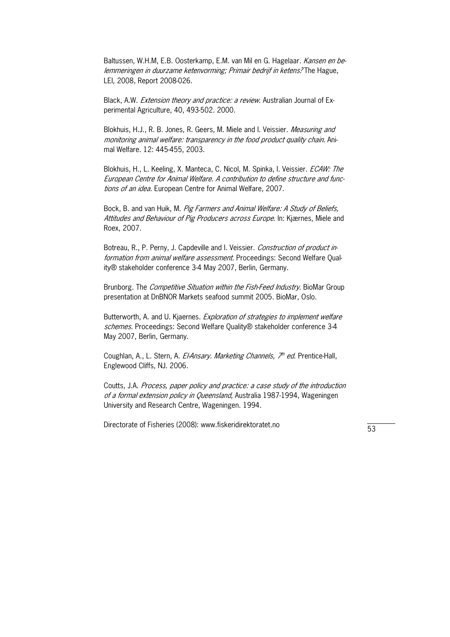Baltussen, W.H.M. E.B. Oosterkamp, E.M. van Mil en G. Hagelaar. Kansen en belemmeringen in duurzame ketenvorming; Primair bedrijf in ketens? The Hague, LEI, 2008, Report 2008-026.

Black, A.W. *Extension theory and practice: a review*. Australian Journal of Experimental Agriculture, 40, 493-502. 2000.

Blokhuis, H.J., R. B. Jones, R. Geers, M. Miele and I. Veissier. Measuring and monitoring animal welfare: transparency in the food product quality chain. Animal Welfare. 12: 445-455, 2003.

Blokhuis, H., L. Keeling, X. Manteca, C. Nicol, M. Spinka, I. Veissier. ECAW: The European Centre for Animal Welfare. A contribution to define structure and func" tions of an idea. European Centre for Animal Welfare, 2007.

Bock, B. and van Huik, M. Pig Farmers and Animal Welfare: A Study of Beliefs, Attitudes and Behaviour of Pig Producers across Europe. In: Kjærnes, Miele and Roex, 2007.

Botreau, R., P. Perny, J. Capdeville and I. Veissier. Construction of product information from animal welfare assessment. Proceedings: Second Welfare Quality® stakeholder conference 3-4 May 2007, Berlin, Germany.

Brunborg. The *Competitive Situation within the Fish-Feed Industry*. BioMar Group presentation at DnBNOR Markets seafood summit 2005. BioMar, Oslo.

Butterworth, A. and U. Kjaernes. Exploration of strategies to implement welfare schemes. Proceedings: Second Welfare Quality® stakeholder conference 3-4 May 2007, Berlin, Germany.

Coughlan, A., L. Stern, A. *El-Ansary. Marketing Channels, 7<sup>th</sup> ed*. Prentice-Hall, Englewood Cliffs, NJ. 2006.

Coutts, J.A. Process, paper policy and practice: a case study of the introduction of a formal extension policy in Queensland, Australia 1987-1994, Wageningen University and Research Centre, Wageningen. 1994.

Directorate of Fisheries (2008): www.fiskeridirektoratet.no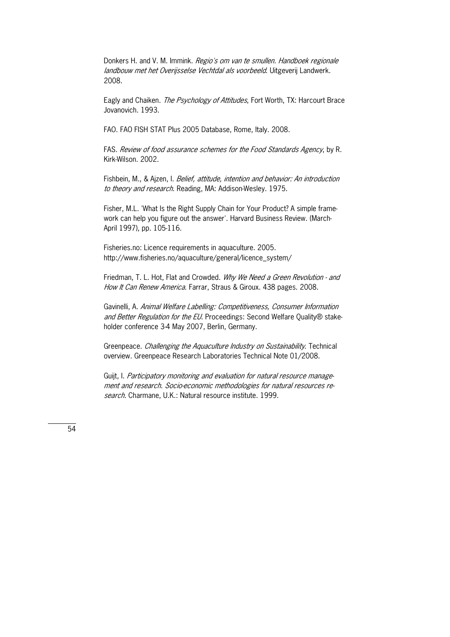Donkers H. and V. M. Immink. Regio's om van te smullen. Handboek regionale landbouw met het Overijsselse Vechtdal als voorbeeld. Uitgeverij Landwerk. 2008.

Eagly and Chaiken. *The Psychology of Attitudes*, Fort Worth, TX: Harcourt Brace Jovanovich. 1993.

FAO. FAO FISH STAT Plus 2005 Database, Rome, Italy. 2008.

FAS. Review of food assurance schemes for the Food Standards Agency, by R. Kirk-Wilson. 2002.

Fishbein, M., & Ajzen, I. Belief, attitude, intention and behavior: An introduction to theory and research. Reading, MA: Addison-Wesley. 1975.

Fisher, M.L. 'What Is the Right Supply Chain for Your Product? A simple framework can help you figure out the answer'. Harvard Business Review. (March-April 1997), pp. 105-116.

Fisheries.no: Licence requirements in aquaculture. 2005. http://www.fisheries.no/aquaculture/general/licence\_system/

Friedman, T. L. Hot, Flat and Crowded. Why We Need a Green Revolution - and How It Can Renew America. Farrar, Straus & Giroux. 438 pages. 2008.

Gavinelli, A. Animal Welfare Labelling: Competitiveness, Consumer Information and Better Regulation for the EU. Proceedings: Second Welfare Quality® stakeholder conference 3-4 May 2007, Berlin, Germany.

Greenpeace. Challenging the Aquaculture Industry on Sustainability. Technical overview. Greenpeace Research Laboratories Technical Note 01/2008.

Guijt, I. Participatory monitoring and evaluation for natural resource management and research. Socio-economic methodologies for natural resources research. Charmane, U.K.: Natural resource institute. 1999.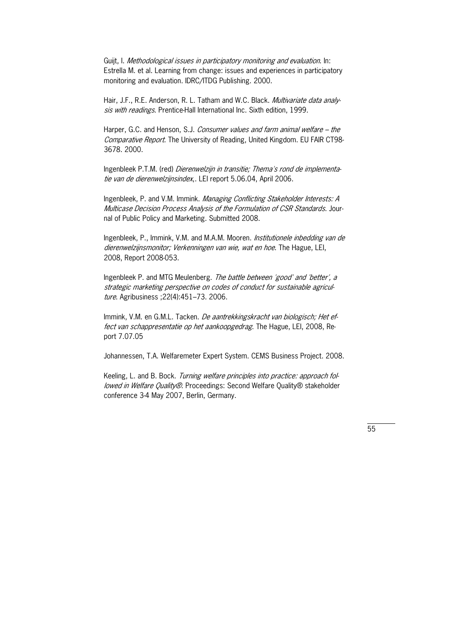Guijt, I. Methodological issues in participatory monitoring and evaluation. In: Estrella M. et al. Learning from change: issues and experiences in participatory monitoring and evaluation. IDRC/ITDG Publishing. 2000.

Hair, J.F., R.E. Anderson, R. L. Tatham and W.C. Black. *Multivariate data analy*sis with readings. Prentice-Hall International Inc. Sixth edition, 1999.

Harper, G.C. and Henson, S.J. Consumer values and farm animal welfare – the Comparative Report. The University of Reading, United Kingdom. EU FAIR CT98-3678. 2000.

Ingenbleek P.T.M. (red) Dierenwelzijn in transitie; Thema's rond de implementatie van de dierenwelzijnsindex,. LEI report 5.06.04, April 2006.

Ingenbleek, P. and V.M. Immink. Managing Conflicting Stakeholder Interests: A Multicase Decision Process Analysis of the Formulation of CSR Standards. Journal of Public Policy and Marketing. Submitted 2008.

Ingenbleek, P., Immink, V.M. and M.A.M. Mooren. Institutionele inbedding van de dierenwelzijnsmonitor; Verkenningen van wie, wat en hoe. The Hague, LEI, 2008, Report 2008-053.

Ingenbleek P. and MTG Meulenberg. The battle between 'good' and 'better', a strategic marketing perspective on codes of conduct for sustainable agriculture. Agribusiness ;22(4):451–73. 2006.

Immink, V.M. en G.M.L. Tacken. De aantrekkingskracht van biologisch; Het effect van schappresentatie op het aankoopgedrag. The Hague, LEI, 2008, Report 7.07.05

Johannessen, T.A. Welfaremeter Expert System. CEMS Business Project. 2008.

Keeling, L. and B. Bock. Turning welfare principles into practice: approach followed in Welfare Quality®. Proceedings: Second Welfare Quality® stakeholder conference 3-4 May 2007, Berlin, Germany.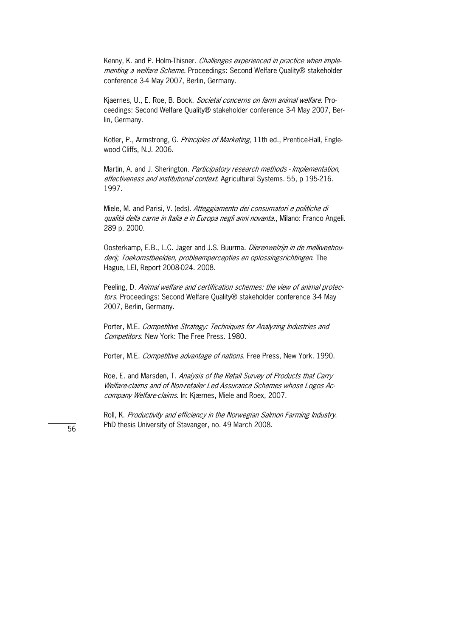Kenny, K. and P. Holm-Thisner. *Challenges experienced in practice when imple* menting a welfare Scheme. Proceedings: Second Welfare Quality® stakeholder conference 3-4 May 2007, Berlin, Germany.

Kjaernes, U., E. Roe, B. Bock. *Societal concerns on farm animal welfare*. Proceedings: Second Welfare Quality® stakeholder conference 3-4 May 2007, Berlin, Germany.

Kotler, P., Armstrong, G. Principles of Marketing, 11th ed., Prentice-Hall, Englewood Cliffs, N.J. 2006.

Martin, A. and J. Sherington. Participatory research methods - Implementation, effectiveness and institutional context. Agricultural Systems. 55, p 195-216. 1997.

Miele, M. and Parisi, V. (eds). Atteggiamento dei consumatori e politiche di qualità della carne in Italia e in Europa negli anni novanta., Milano: Franco Angeli. 289 p. 2000.

Oosterkamp, E.B., L.C. Jager and J.S. Buurma. *Dierenwelzijn in de melkveehou*derij; Toekomstbeelden, probleempercepties en oplossingsrichtingen. The Hague, LEI, Report 2008-024. 2008.

Peeling, D. Animal welfare and certification schemes: the view of animal protectors. Proceedings: Second Welfare Quality® stakeholder conference 3-4 May 2007, Berlin, Germany.

Porter, M.E. Competitive Strategy: Techniques for Analyzing Industries and Competitors. New York: The Free Press. 1980.

Porter, M.E. *Competitive advantage of nations*. Free Press, New York. 1990.

Roe, E. and Marsden, T. Analysis of the Retail Survey of Products that Carry Welfare-claims and of Non-retailer Led Assurance Schemes whose Logos Accompany Welfare-claims. In: Kjærnes, Miele and Roex, 2007.

Roll, K. Productivity and efficiency in the Norwegian Salmon Farming Industry. PhD thesis University of Stavanger, no. 49 March 2008.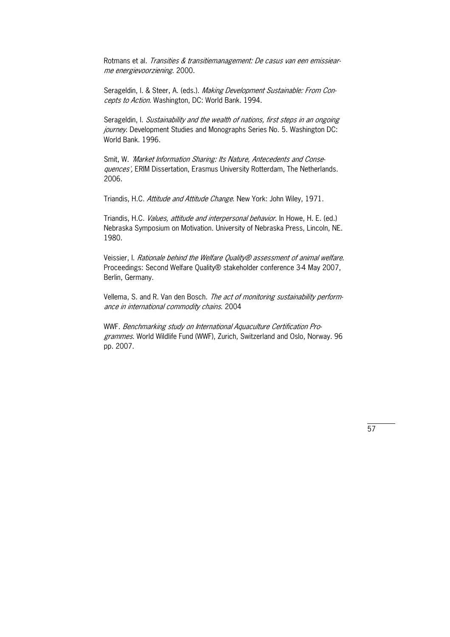Rotmans et al. *Transities & transitiemanagement: De casus van een emissiear*me energievoorziening. 2000.

Serageldin, I. & Steer, A. (eds.). Making Development Sustainable: From Concepts to Action. Washington, DC: World Bank. 1994.

Serageldin, I. Sustainability and the wealth of nations, first steps in an ongoing journey. Development Studies and Monographs Series No. 5. Washington DC: World Bank. 1996.

Smit, W. 'Market Information Sharing: Its Nature, Antecedents and Consequences', ERIM Dissertation, Erasmus University Rotterdam, The Netherlands. 2006.

Triandis, H.C. Attitude and Attitude Change. New York: John Wiley, 1971.

Triandis, H.C. *Values, attitude and interpersonal behavior*. In Howe, H. E. (ed.) Nebraska Symposium on Motivation. University of Nebraska Press, Lincoln, NE. 1980.

Veissier, I. Rationale behind the Welfare Quality® assessment of animal welfare. Proceedings: Second Welfare Quality® stakeholder conference 3-4 May 2007, Berlin, Germany.

Vellema, S. and R. Van den Bosch. The act of monitoring sustainability performance in international commodity chains. 2004

WWF. Benchmarking study on International Aquaculture Certification Programmes. World Wildlife Fund (WWF), Zurich, Switzerland and Oslo, Norway. 96 pp. 2007.